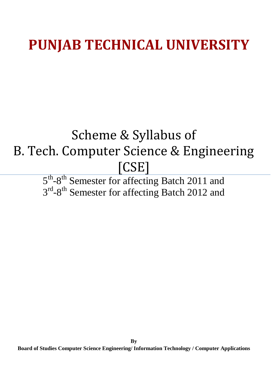### **PUNJAB TECHNICAL UNIVERSITY**

### Scheme & Syllabus of B. Tech. Computer Science & Engineering [CSE]

5<sup>th</sup>-8<sup>th</sup> Semester for affecting Batch 2011 and 3<sup>rd</sup>-8<sup>th</sup> Semester for affecting Batch 2012 and

**Board of Studies Computer Science Engineering/ Information Technology / Computer Applications**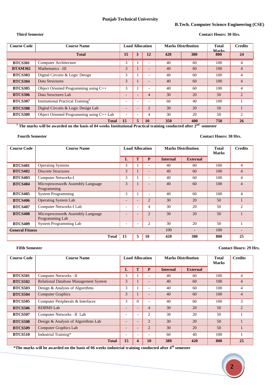#### **B.Tech. Computer Science Engineering (CSE)**

#### **Third Semester Contact Hours: 30 Hrs.**

| <b>Course Code</b> | <b>Course Name</b>                            | <b>Load Allocation</b>   |   |                          | <b>Marks Distribution</b> |     | <b>Total</b><br>Marks | <b>Credits</b> |
|--------------------|-----------------------------------------------|--------------------------|---|--------------------------|---------------------------|-----|-----------------------|----------------|
|                    | <b>Total</b>                                  | 15                       |   | 12                       | 420                       | 380 | 800                   | 24             |
| <b>BTCS301</b>     | Computer Architecture                         | 3                        |   |                          | 40                        | 60  | 100                   | 4              |
| <b>BTAM302</b>     | Mathematics-III                               | 3                        |   |                          | 40                        | 60  | 100                   | 4              |
| <b>BTCS303</b>     | Digital Circuits & Logic Design               | 3                        |   | $\overline{\phantom{0}}$ | 40                        | 60  | 100                   | 4              |
| <b>BTCS304</b>     | Data Structures                               | 3                        |   |                          | 40                        | 60  | 100                   | 4              |
| <b>BTCS305</b>     | Object Oriented Programming using C++         | 3                        |   |                          | 40                        | 60  | 100                   | 4              |
| <b>BTCS306</b>     | Data Structures Lab                           |                          |   | 4                        | 30                        | 20  | 50                    | $\overline{2}$ |
| <b>BTCS307</b>     | Institutional Practical Training <sup>#</sup> | $\overline{\phantom{0}}$ |   |                          | 60                        | 40  | 100                   |                |
| <b>BTCS308</b>     | Digital Circuits & Logic Design Lab           |                          |   | $\overline{2}$           | 30                        | 20  | 50                    |                |
| <b>BTCS309</b>     | Object Oriented Programming using C++ Lab     |                          |   | 4                        | 30                        | 20  | 50                    | $\overline{c}$ |
|                    | <b>Total</b>                                  | 15                       | 5 | <b>10</b>                | 350                       | 400 | 750                   | 26             |

# **The marks will be awarded on the basis of 04 weeks Institutional Practical training conducted after 2nd semester**

#### **Fourth Semester Contact Hours: 30 Hrs.**

| <b>Course Code</b>     | <b>Course Name</b>                                   | <b>Load Allocation</b>   |   |                          | <b>Marks Distribution</b> |                 | <b>Total</b><br><b>Marks</b> | <b>Credits</b> |
|------------------------|------------------------------------------------------|--------------------------|---|--------------------------|---------------------------|-----------------|------------------------------|----------------|
|                        |                                                      | L                        | T | P                        | <b>Internal</b>           | <b>External</b> |                              |                |
| <b>BTCS401</b>         | <b>Operating Systems</b>                             | 3                        |   |                          | 40                        | 60              | 100                          | 4              |
| <b>BTCS402</b>         | <b>Discrete Structures</b>                           | 3                        |   |                          | 40                        | 60              | 100                          | $\overline{4}$ |
| <b>BTCS403</b>         | <b>Computer Networks-I</b>                           | 3                        |   |                          | 40                        | 60              | 100                          | 4              |
| <b>BTCS404</b>         | Microprocessor & Assembly Language<br>Programming    | 3                        |   |                          | 40                        | 60              | 100                          | 4              |
| <b>BTCS405</b>         | <b>System Programming</b>                            | 3                        |   | $\overline{\phantom{0}}$ | 40                        | 60              | 100                          | 4              |
| <b>BTCS406</b>         | <b>Operating System Lab</b>                          | $\overline{\phantom{0}}$ |   | $\overline{2}$           | 30                        | 20              | 50                           |                |
| <b>BTCS407</b>         | Computer Networks-I Lab                              | $\overline{\phantom{a}}$ |   | 4                        | 30                        | 20              | 50                           | 2              |
| <b>BTCS408</b>         | Microprocessor& Assembly Language<br>Programming Lab | $\overline{\phantom{0}}$ |   | $\overline{2}$           | 30                        | 20              | 50                           |                |
| <b>BTCS409</b>         | <b>System Programming Lab</b>                        | $\overline{\phantom{a}}$ |   | 2                        | 30                        | 20              | 50                           |                |
| <b>General Fitness</b> |                                                      |                          |   |                          | 100                       |                 | 100                          |                |
|                        | <b>Total</b>                                         | 15                       | 5 | <b>10</b>                | 420                       | 380             | 800                          | 25             |

#### **Fifth Semester Contact Hours: 29 Hrs.**

| <b>Course Code</b> | <b>Course Name</b>                           | <b>Load Allocation</b>   |                          |                          | <b>Marks Distribution</b> |                 | <b>Total</b><br><b>Marks</b> | <b>Credits</b> |
|--------------------|----------------------------------------------|--------------------------|--------------------------|--------------------------|---------------------------|-----------------|------------------------------|----------------|
|                    |                                              | L                        | T                        | P                        | <b>Internal</b>           | <b>External</b> |                              |                |
| <b>BTCS501</b>     | Computer Networks-II                         | 3                        |                          |                          | 40                        | 60              | 100                          | 4              |
| <b>BTCS502</b>     | <b>Relational Database Management System</b> | 3                        |                          |                          | 40                        | 60              | 100                          | 4              |
| <b>BTCS503</b>     | Design & Analysis of Algorithms              | 3                        |                          |                          | 40                        | 60              | 100                          | 4              |
| <b>BTCS504</b>     | <b>Computer Graphics</b>                     | 3                        |                          |                          | 40                        | 60              | 100                          | $\overline{4}$ |
| <b>BTCS505</b>     | Computer Peripherals & Interfaces            | 3                        | $\Omega$                 |                          | 40                        | 60              | 100                          | 3              |
| <b>BTCS506</b>     | <b>RDBMS</b> Lab                             | $\overline{\phantom{0}}$ |                          | 4                        | 30                        | 20              | 50                           | $\overline{2}$ |
| <b>BTCS507</b>     | Computer Networks-II Lab                     | ۰                        |                          | $\overline{c}$           | 30                        | 20              | 50                           |                |
| <b>BTCS508</b>     | Design & Analysis of Algorithms Lab          | $\overline{\phantom{0}}$ |                          | $\overline{c}$           | 30                        | 20              | 50                           |                |
| <b>BTCS509</b>     | <b>Computer Graphics Lab</b>                 | $\overline{\phantom{0}}$ | $\overline{\phantom{a}}$ | $\overline{2}$           | 30                        | 20              | 50                           |                |
| <b>BTCS510</b>     | Industrial Training*                         | $\overline{\phantom{0}}$ |                          | $\overline{\phantom{0}}$ | 60                        | 40              | 100                          |                |
|                    | <b>Total</b>                                 | 15                       | 4                        | 10                       | 380                       | 420             | 800                          | 25             |

**\*The marks will be awarded on the basis of 06 weeks industrial training conducted after 4th semester** 

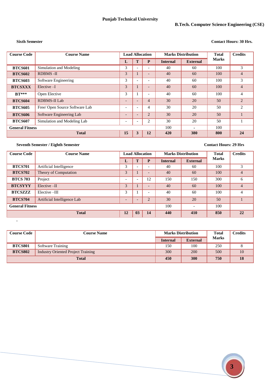#### **Sixth Semester Contact Hours: 30 Hrs.**

| <b>Course Code</b>     | <b>Course Name</b>             | <b>Load Allocation</b>   |                          |                | <b>Marks Distribution</b> |                 | <b>Total</b> | <b>Credits</b> |
|------------------------|--------------------------------|--------------------------|--------------------------|----------------|---------------------------|-----------------|--------------|----------------|
|                        |                                | L                        | Τ                        | P              | <b>Internal</b>           | <b>External</b> | <b>Marks</b> |                |
| <b>BTCS601</b>         | Simulation and Modeling        | 3                        |                          |                | 40                        | 60              | 100          | 3              |
| <b>BTCS602</b>         | <b>RDBMS-II</b>                | 3                        |                          |                | 40                        | 60              | 100          | $\overline{4}$ |
| <b>BTCS603</b>         | Software Engineering           | 3                        | $\overline{\phantom{0}}$ |                | 40                        | 60              | 100          | 3              |
| <b>BTCSXXX</b>         | Elective-I                     | 3                        |                          |                | 40                        | 60              | 100          | $\overline{4}$ |
| $\bf{B}$ T***          | Open Elective                  | 3                        |                          |                | 40                        | 60              | 100          | 4              |
| <b>BTCS604</b>         | <b>RDBMS-II Lab</b>            | $\overline{\phantom{0}}$ |                          | 4              | 30                        | 20              | 50           | $\overline{2}$ |
| <b>BTCS605</b>         | Free/ Open Source Software Lab | $\overline{\phantom{0}}$ | $\overline{\phantom{0}}$ | 4              | 30                        | 20              | 50           | 2              |
| <b>BTCS606</b>         | Software Engineering Lab       | $\overline{\phantom{0}}$ | $\overline{\phantom{0}}$ | $\overline{2}$ | 30                        | 20              | 50           |                |
| <b>BTCS607</b>         | Simulation and Modeling Lab    | $\overline{\phantom{0}}$ | $\overline{\phantom{0}}$ | 2              | 30                        | 20              | 50           |                |
| <b>General Fitness</b> |                                |                          |                          | 100            | $\blacksquare$            | 100             |              |                |
| <b>Total</b>           |                                |                          | 3                        | 12             | 420                       | 380             | 800          | 24             |

#### **Seventh Semester / Eighth Semester Contact Hours: 29 Hrs**

**.**

| <b>Course Code</b>     | <b>Course Name</b>          | <b>Load Allocation</b>   |                          |                          | <b>Marks Distribution</b> |                          | <b>Total</b> | <b>Credits</b> |
|------------------------|-----------------------------|--------------------------|--------------------------|--------------------------|---------------------------|--------------------------|--------------|----------------|
|                        |                             | ┚                        | T                        | P                        | <b>Internal</b>           | <b>External</b>          | <b>Marks</b> |                |
| <b>BTCS701</b>         | Artificial Intelligence     | 3                        | $\overline{\phantom{0}}$ | $\overline{\phantom{0}}$ | 40                        | 60                       | 100          | 3              |
| <b>BTCS702</b>         | Theory of Computation       | 3                        |                          |                          | 40                        | 60                       | 100          | 4              |
| <b>BTCS 703</b>        | Project                     | $\overline{\phantom{0}}$ | $\overline{\phantom{0}}$ | 12                       | 150                       | 150                      | 300          | 6              |
| <b>BTCSYYY</b>         | Elective-II                 | 3                        |                          |                          | 40                        | 60                       | 100          | 4              |
| <b>BTCSZZZZ</b>        | Elective --III              | 3                        |                          |                          | 40                        | 60                       | 100          | 4              |
| <b>BTCS704</b>         | Artificial Intelligence Lab | $\overline{\phantom{0}}$ | $\overline{\phantom{a}}$ | $\overline{2}$           | 30                        | 20                       | 50           |                |
| <b>General Fitness</b> |                             |                          |                          |                          | 100                       | $\overline{\phantom{a}}$ | 100          |                |
| <b>Total</b>           |                             | 12                       | 03                       | 14                       | 440                       | 410                      | 850          | 22             |

| <b>Course Code</b> | <b>Course Name</b>                        | <b>Marks Distribution</b> |                 | <b>Total</b> | Credits |
|--------------------|-------------------------------------------|---------------------------|-----------------|--------------|---------|
|                    |                                           | <b>Internal</b>           | <b>External</b> | <b>Marks</b> |         |
| <b>BTCS801</b>     | Software Training                         | 150                       | 100             | 250          |         |
| <b>BTCS802</b>     | <b>Industry Oriented Project Training</b> | 300                       | 200             | 500          | 10      |
| <b>Total</b>       |                                           | 450                       | 300             | 750          | 18      |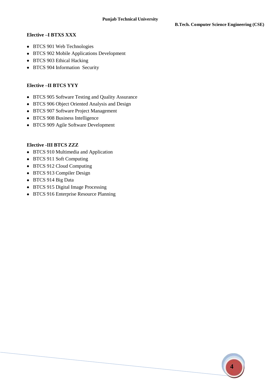#### **Elective –I BTXS XXX**

- BTCS 901 Web Technologies
- BTCS 902 Mobile Applications Development
- BTCS 903 Ethical Hacking
- BTCS 904 Information Security

#### **Elective –II BTCS YYY**

- BTCS 905 Software Testing and Quality Assurance
- BTCS 906 Object Oriented Analysis and Design
- BTCS 907 Software Project Management
- BTCS 908 Business Intelligence
- BTCS 909 Agile Software Development

#### **Elective -III BTCS ZZZ**

- BTCS 910 Multimedia and Application
- BTCS 911 Soft Computing
- BTCS 912 Cloud Computing
- BTCS 913 Compiler Design
- BTCS 914 Big Data
- BTCS 915 Digital Image Processing
- BTCS 916 Enterprise Resource Planning

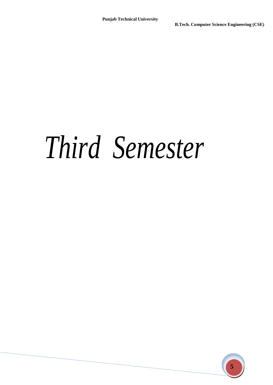### *Third Semester*

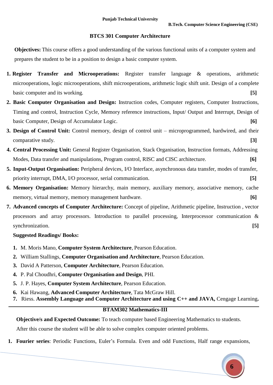#### **BTCS 301 Computer Architecture**

**Objectives:** This course offers a good understanding of the various functional units of a computer system and prepares the student to be in a position to design a basic computer system.

- **1. Register Transfer and Microoperations:** Register transfer language & operations, arithmetic microoperations, logic microoperations, shift microoperations, arithmetic logic shift unit. Design of a complete basic computer and its working. **[5]**
- **2. Basic Computer Organisation and Design:** Instruction codes, Computer registers, Computer Instructions, Timing and control, Instruction Cycle, Memory reference instructions, Input/ Output and Interrupt, Design of basic Computer, Design of Accumulator Logic. **[6]**
- **3. Design of Control Unit:** Control memory, design of control unit microprogrammed, hardwired, and their comparative study. **[3]**
- **4. Central Processing Unit:** General Register Organisation, Stack Organisation, Instruction formats, Addressing Modes, Data transfer and manipulations, Program control, RISC and CISC architecture. **[6]**
- **5. Input-Output Organisation:** Peripheral devices, I/O Interface, asynchronous data transfer, modes of transfer, priority interrupt, DMA, I/O processor, serial communication. **[5]**
- **6. Memory Organisation:** Memory hierarchy, main memory, auxiliary memory, associative memory, cache memory, virtual memory, memory management hardware. **[6]**
- **7. Advanced concepts of Computer Architecture:** Concept of pipeline, Arithmetic pipeline, Instruction , vector processors and array processors. Introduction to parallel processing, Interprocessor communication & synchronization. **[5] [5]**

#### **Suggested Readings/ Books:**

- **1.** M. Moris Mano, **Computer System Architecture**, Pearson Education.
- **2.** William Stallings, **Computer Organisation and Architecture**, Pearson Education.
- **3.** David A Patterson, **Computer Architecture**, Pearson Education.
- **4.** P. Pal Choudhri, **Computer Organisation and Design**, PHI.
- **5.** J. P. Hayes, **Computer System Architecture**, Pearson Education.
- **6.** Kai Hawang, **Advanced Computer Architecture**, Tata McGraw Hill.
- **7.** Riess. **Assembly Language and Computer Architecture and using C++ and JAVA,** Cengage Learning**.**

#### **BTAM302 Mathematics-III**

**Objective/s and Expected Outcome:** To teach computer based Engineering Mathematics to students.

After this course the student will be able to solve complex computer oriented problems.

**1. Fourier series**: Periodic Functions, Euler's Formula. Even and odd Functions, Half range expansions,

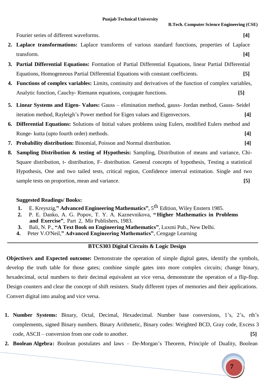Fourier series of different waveforms. **[4]** 

- **2. Laplace transformations:** Laplace transforms of various standard functions, properties of Laplace transform. **[4]**
- **3. Partial Differential Equations:** Formation of Partial Differential Equations, linear Partial Differential Equations, Homogeneous Partial Differential Equations with constant coefficients. **[5]**
- **4. Functions of complex variables:** Limits, continuity and derivatives of the function of complex variables, Analytic function, Cauchy- Riemann equations, conjugate functions. **[5]**
- **5. Linear Systems and Eigen- Values:** Gauss elimination method, gauss- Jordan method, Gauss- Seidel iteration method, Rayleigh's Power method for Eigen values and Eigenvectors. **[4]**
- **6. Differential Equations:** Solutions of Initial values problems using Eulers, modified Eulers method and Runge- kutta (upto fourth order) methods. **[4]**
- **7. Probability distribution:** Binomial, Poisson and Normal distribution. **[4]**
- **8. Sampling Distribution & testing of Hypothesis:** Sampling, Distribution of means and variance, Chi-Square distribution, t- distribution, F- distribution. General concepts of hypothesis, Testing a statistical Hypothesis, One and two tailed tests, critical region, Confidence interval estimation. Single and two sample tests on proportion, mean and variance. **[5]**

#### **Suggested Readings/ Books:**

- **1.** E. Kreyszig,**" Advanced Engineering Mathematics"**, 5 th Edition, Wiley Enstern 1985.
- **2.** P. E. Danko, A. G. Popov, T. Y. A. Kaznevnikova, **" Higher Mathematics in Problems and Exercise"**, Part 2, Mir Publishers, 1983.
- **3.** Bali, N. P., **"A Text Book on Engineering Mathematics"**, Luxmi Pub., New Delhi.
- **4.** Peter V.O'Neil,**" Advanced Engineering Mathematics"**, Cengage Learning

#### **BTCS303 Digital Circuits & Logic Design**

**Objective/s and Expected outcome:** Demonstrate the operation of simple digital gates, identify the symbols, develop the truth table for those gates; combine simple gates into more complex circuits; change binary, hexadecimal, octal numbers to their decimal equivalent an vice versa, demonstrate the operation of a flip-flop. Design counters and clear the concept of shift resisters. Study different types of memories and their applications. Convert digital into analog and vice versa.

- **1. Number Systems:** Binary, Octal, Decimal, Hexadecimal. Number base conversions, 1's, 2's, rth's complements, signed Binary numbers. Binary Arithmetic, Binary codes: Weighted BCD, Gray code, Excess 3 code, ASCII – conversion from one code to another. **[5]**
- **2. Boolean Algebra:** Boolean postulates and laws De-Morgan's Theorem, Principle of Duality, Boolean

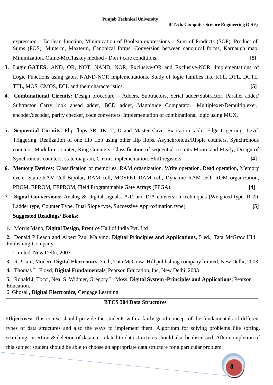expression – Boolean function, Minimization of Boolean expressions – Sum of Products (SOP), Product of Sums (POS), Minterm, Maxterm, Canonical forms, Conversion between canonical forms, Karnaugh map Minimization, Quine-McCluskey method - Don't care conditions. **[5]**

- **3. [Logic GATES:](http://www.indiastudychannel.com/resources/35336-EC-DIGITAL-ELECTRONICS-Syllabus-Anna.aspx)** AND, OR, NOT, NAND, NOR, Exclusive-OR and Exclusive-NOR. Implementations of Logic Functions using gates, NAND-NOR implementations. Study of logic families like RTL, DTL, DCTL, TTL, MOS, CMOS, ECL and their characteristics. **[5]**
- **4. Combinational Circuits:** Design procedure Adders, Subtractors, Serial adder/Subtractor, Parallel adder/ Subtractor Carry look ahead adder, BCD adder, Magnitude Comparator, [Multiplexer](http://www.indiastudychannel.com/resources/35336-EC-DIGITAL-ELECTRONICS-Syllabus-Anna.aspx)/Demultiplexer, encoder/decoder, parity checker, code converters. Implementation of combinational logic using MUX.
- **5. Sequential Circuits:** Flip flops SR, JK, T, D and Master slave, Excitation table, Edge triggering, Level Triggering, Realization of one flip flop using other flip flops. Asynchronous/Ripple counters, Synchronous counters, Modulo-n counter, Ring Counters. Classification of sequential circuits-Moore and Mealy, Design of Synchronous counters: state diagram, Circuit implementation. Shift registers. **[4]**
- **6. Memory Devices:** Classification of memories, RAM organization, Write operation, Read operation, Memory cycle. [St](http://www.indiastudychannel.com/resources/35336-EC-DIGITAL-ELECTRONICS-Syllabus-Anna.aspx)atic RAM Cell-Bipolar, RAM cell, MOSFET RAM cell, Dynamic RAM cell. ROM organization, PROM, EPROM, EEPROM, Field Programmable Gate Arrays [\(FPGA\)](http://www.indiastudychannel.com/resources/35336-EC-DIGITAL-ELECTRONICS-Syllabus-Anna.aspx). **[4]**
- **7. Signal Conversions:** Analog & Digital signals. A/D and D/A conversion techniques (Weighted type, R-2R Ladder type, Counter Type, Dual Slope type, Successive Approximation type). **[5]**

#### **Suggested Readings/ Books:**

**1.** Morris Mano, **Digital Design**, Prentice Hall of India Pvt. Ltd

**2.** Donald P.Leach and Albert Paul Malvino, **Digital Principles and Applications**, 5 ed., Tata McGraw Hill Publishing Company

Limited, New Delhi, 2003.

**3.** R.P.Jain, Modern **Digital Electronics**, 3 ed., Tata McGraw–Hill publishing company limited, New Delhi, 2003.

**4.** Thomas L. Floyd, **Digital Fundamentals**, Pearson Education, Inc, New Delhi, 2003

**5.** Ronald J. Tocci, Neal S. Widmer, Gregory L. Moss, **Digital System -Principles and Applications**, Pearson Education.

6. Ghosal , **Digital Electronics,** Cengage Learning.

#### **BTCS 304 Data Structures**

**Objectives:** This course should provide the students with a fairly good concept of the fundamentals of different types of data structures and also the ways to implement them. Algorithm for solving problems like sorting, searching, insertion & deletion of data etc. related to data structures should also be discussed. After completion of this subject student should be able to choose an appropriate data structure for a particular problem.

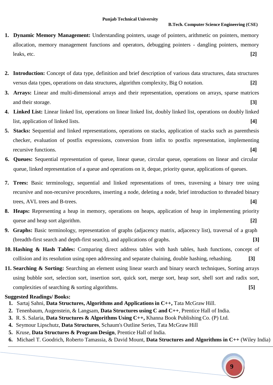- **1. Dynamic Memory Management:** Understanding pointers, usage of pointers, arithmetic on pointers, memory allocation, memory management functions and operators, debugging pointers - dangling pointers, memory leaks, etc. **[2]**
- **2. Introduction:** Concept of data type, definition and brief description of various data structures, data structures versus data types, operations on data structures, algorithm complexity, Big O notation. **[2]**
- **3. Arrays:** Linear and multi-dimensional arrays and their representation, operations on arrays, sparse matrices and their storage. **[3]**
- **4. Linked List:** Linear linked list, operations on linear linked list, doubly linked list, operations on doubly linked list, application of linked lists. **[4]**
- **5. Stacks:** Sequential and linked representations, operations on stacks, application of stacks such as parenthesis checker, evaluation of postfix expressions, conversion from infix to postfix representation, implementing recursive functions. **[4]**
- **6. Queues:** Sequential representation of queue, linear queue, circular queue, operations on linear and circular queue, linked representation of a queue and operations on it, deque, priority queue, applications of queues.
- **7. Trees:** Basic terminology, sequential and linked representations of trees, traversing a binary tree using recursive and non-recursive procedures, inserting a node, deleting a node, brief introduction to threaded binary trees, AVL trees and B-trees. **[4]**
- **8. Heaps:** Representing a heap in memory, operations on heaps, application of heap in implementing priority queue and heap sort algorithm. **[2] [2]**
- **9. Graphs:** Basic terminology, representation of graphs (adjacency matrix, adjacency list), traversal of a graph (breadth-first search and depth-first search), and applications of graphs. **[3]**
- **10. Hashing & Hash Tables:** Comparing direct address tables with hash tables, hash functions, concept of collision and its resolution using open addressing and separate chaining, double hashing, rehashing. **[3]**
- **11. Searching & Sorting:** Searching an element using linear search and binary search techniques, Sorting arrays using bubble sort, selection sort, insertion sort, quick sort, merge sort, heap sort, shell sort and radix sort, complexities of searching & sorting algorithms. **[5]**

- **1.** Sartaj Sahni, **Data Structures, Algorithms and Applications in C++,** Tata McGraw Hill.
- **2.** Tenenbaum, Augenstein, & Langsam, **Data Structures using C and C++**, Prentice Hall of India.
- **3.** R. S. Salaria, **Data Structures & Algorithms Using C++,** Khanna Book Publishing Co. (P) Ltd.
- **4.** Seymour Lipschutz, **Data Structures**, Schaum's Outline Series, Tata McGraw Hill
- **5.** Kruse, **Data Structures & Program Design**, Prentice Hall of India.
- **6.** Michael T. Goodrich, Roberto Tamassia, & David Mount, **Data Structures and Algorithms in C++** (Wiley India)

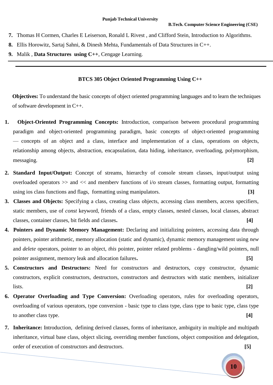- **7.** Thomas H Cormen, Charles E Leiserson, Ronald L Rivest , and Clifford Stein, Introduction to Algorithms.
- **8.** Ellis Horowitz, Sartaj Sahni, & Dinesh Mehta, Fundamentals of Data Structures in C++.
- **9.** Malik , **Data Structures using C++**, Cengage Learning.

#### **BTCS 305 Object Oriented Programming Using C++**

**Objectives:** To understand the basic concepts of object oriented programming languages and to learn the techniques of software development in C++.

- **1. Object-Oriented Programming Concepts:** Introduction, comparison between procedural programming paradigm and object-oriented programming paradigm, basic concepts of object-oriented programming — concepts of an object and a class, interface and implementation of a class, operations on objects, relationship among objects, abstraction, encapsulation, data hiding, inheritance, overloading, polymorphism, messaging. **[2]**
- **2. Standard Input/Output:** Concept of streams, hierarchy of console stream classes, input/output using overloaded operators >> and << and memberv functions of i/o stream classes, formatting output, formatting using ios class functions and flags, formatting using manipulators. **[3]**
- **3. Classes and Objects:** Specifying a class, creating class objects, accessing class members, access specifiers, static members, use of *const* keyword, friends of a class, empty classes, nested classes, local classes, abstract classes, container classes, bit fields and classes**. [4]**
- **4. Pointers and Dynamic Memory Management:** Declaring and initializing pointers, accessing data through pointers, pointer arithmetic, memory allocation (static and dynamic), dynamic memory management using *new*  and *delete* operators, pointer to an object, *this* pointer, pointer related problems - dangling/wild pointers, null pointer assignment, memory leak and allocation failures**. [5]**
- **5. Constructors and Destructors:** Need for constructors and destructors, copy constructor, dynamic constructors, explicit constructors, destructors, constructors and destructors with static members, initializer lists. **[2]**
- **6. Operator Overloading and Type Conversion:** Overloading operators, rules for overloading operators, overloading of various operators, type conversion - basic type to class type, class type to basic type, class type to another class type. **[4]**
- **7. Inheritance:** Introduction, defining derived classes, forms of inheritance, ambiguity in multiple and multipath inheritance, virtual base class, object slicing, overriding member functions, object composition and delegation, order of execution of constructors and destructors. **[5]**

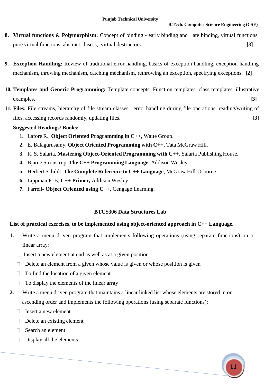- **8. Virtual functions & Polymorphism:** Concept of binding early binding and late binding, virtual functions, pure virtual functions, abstract clasess, virtual destructors. **[3]**
- **9. Exception Handling:** Review of traditional error handling, basics of exception handling, exception handling mechanism, throwing mechanism, catching mechanism, rethrowing an exception, specifying exceptions. **[2]**
- **10. Templates and Generic Programming:** Template concepts, Function templates, class templates, illustrative examples. **[3]**
- **11. Files:** File streams, hierarchy of file stream classes, error handling during file operations, reading/writing of files, accessing records randomly, updating files. **[3]**

#### **Suggested Readings/ Books:**

- **1.** Lafore R., **Object Oriented Programming in C++**, Waite Group.
- **2.** E. Balagurusamy, **Object Oriented Programming with C++**, Tata McGraw Hill.
- **3.** R. S. Salaria, **Mastering Object-Oriented Programming with C++**, Salaria Publishing House.
- **4.** Bjarne Stroustrup, **The C++ Programming Language**, Addison Wesley.
- **5.** Herbert Schildt, **The Complete Reference to C++ Language**, McGraw Hill-Osborne.
- **6.** Lippman F. B, **C++ Primer,** Addison Wesley.
- **7.** Farrell- **Object Oriented using C++,** Cengage Learning.

### **BTCS306 Data Structures Lab**

### **List of practical exercises, to be implemented using object-oriented approach in C++ Language.**

- **1.** Write a menu driven program that implements following operations (using separate functions) on a linear array:
	- $\Box$  Insert a new element at end as well as at a given position
	- $\Box$  Delete an element from a given whose value is given or whose position is given
	- $\Box$  To find the location of a given element
	- $\Box$  To display the elements of the linear array
- **2.** Write a menu driven program that maintains a linear linked list whose elements are stored in on ascending order and implements the following operations (using separate functions):
	- $\Box$  Insert a new element
	- $\Box$  Delete an existing element
	- Search an element  $\Box$
	- Display all the elements $\Box$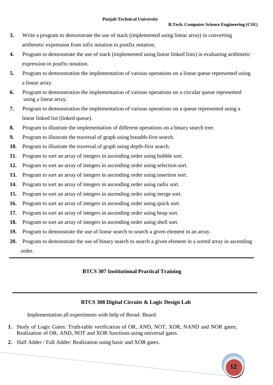- **3.** Write a program to demonstrate the use of stack (implemented using linear array) in converting arithmetic expression from infix notation to postfix notation.
- **4.** Program to demonstrate the use of stack (implemented using linear linked lists) in evaluating arithmetic expression in postfix notation.
- **5.** Program to demonstration the implementation of various operations on a linear queue represented using a linear array.
- **6.** Program to demonstration the implementation of various operations on a circular queue represented using a linear array.
- **7.** Program to demonstration the implementation of various operations on a queue represented using a linear linked list (linked queue).
- **8.** Program to illustrate the implementation of different operations on a binary search tree.
- **9.** Program to illustrate the traversal of graph using breadth-first search.
- **10.** Program to illustrate the traversal of graph using depth-first search.
- **11.** Program to sort an array of integers in ascending order using bubble sort.
- **12.** Program to sort an array of integers in ascending order using selection sort.
- **13.** Program to sort an array of integers in ascending order using insertion sort.
- **14.** Program to sort an array of integers in ascending order using radix sort.
- **15.** Program to sort an array of integers in ascending order using merge sort.
- **16.** Program to sort an array of integers in ascending order using quick sort.
- **17.** Program to sort an array of integers in ascending order using heap sort.
- **18.** Program to sort an array of integers in ascending order using shell sort.
- **19.** Program to demonstrate the use of linear search to search a given element in an array.
- **20.** Program to demonstrate the use of binary search to search a given element in a sorted array in ascending order.

### **BTCS 307 Institutional Practical Training**

#### **BTCS 308 Digital Circuits & Logic Design Lab**

Implementation all experiments with help of Bread- Board.

- **1.** Study of Logic Gates: Truth-table verification of OR, AND, NOT, XOR, NAND and NOR gates; Realization of OR, AND, NOT and XOR functions using universal gates.
- **2.** Half Adder / Full Adder: Realization using basic and XOR gates.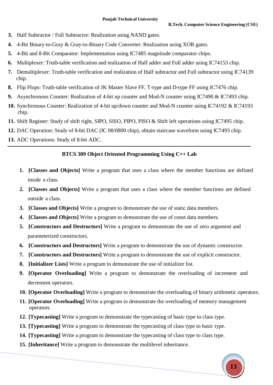- **3.** Half Subtractor / Full Subtractor: Realization using NAND gates.
- **4.** 4-Bit Binary-to-Gray & Gray-to-Binary Code Converter: Realization using XOR gates.
- **5.** 4-Bit and 8-Bit Comparator: Implementation using IC7485 magnitude comparator chips.
- **6.** Multiplexer: Truth-table verification and realization of Half adder and Full adder using IC74153 chip.
- **7.** Demultiplexer: Truth-table verification and realization of Half subtractor and Full subtractor using IC74139 chip.
- **8.** Flip Flops: Truth-table verification of JK Master Slave FF, T-type and D-type FF using IC7476 chip.
- **9.** Asynchronous Counter: Realization of 4-bit up counter and Mod-N counter using IC7490 & IC7493 chip.
- **10.** Synchronous Counter: Realization of 4-bit up/down counter and Mod-N counter using IC74192 & IC74193 chip.
- **11.** Shift Register: Study of shift right, SIPO, SISO, PIPO, PISO & Shift left operations using IC7495 chip.
- **12.** DAC Operation: Study of 8-bit DAC (IC 08/0800 chip), obtain staircase waveform using IC7493 chip.
- **13.** ADC Operations: Study of 8-bit ADC.

#### **BTCS 309 Object Oriented Programming Using C++ Lab**

- **1. [Classes and Objects]** Write a program that uses a class where the member functions are defined inside a class.
- **2. [Classes and Objects]** Write a program that uses a class where the member functions are defined outside a class.
- **3. [Classes and Objects]** Write a program to demonstrate the use of static data members.
- **4. [Classes and Objects]** Write a program to demonstrate the use of const data members.
- **5. [Constructors and Destructors]** Write a program to demonstrate the use of zero argument and parameterized constructors.
- **6. [Constructors and Destructors]** Write a program to demonstrate the use of dynamic constructor.
- **7. [Constructors and Destructors]** Write a program to demonstrate the use of explicit constructor.
- **8. [Initializer Lists]** Write a program to demonstrate the use of initializer list.
- **9. [Operator Overloading]** Write a program to demonstrate the overloading of increment and decrement operators.
- **10. [Operator Overloading]** Write a program to demonstrate the overloading of binary arithmetic operators.
- **11. [Operator Overloading]** Write a program to demonstrate the overloading of memory management operators.
- **12. [Typecasting]** Write a program to demonstrate the typecasting of basic type to class type.
- **13. [Typecasting]** Write a program to demonstrate the typecasting of class type to basic type.
- **14. [Typecasting]** Write a program to demonstrate the typecasting of class type to class type.
- **15. [Inheritance]** Write a program to demonstrate the multilevel inheritance.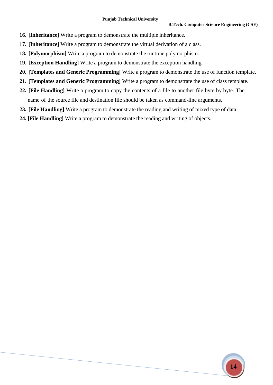- **16. [Inheritance]** Write a program to demonstrate the multiple inheritance.
- **17. [Inheritance]** Write a program to demonstrate the virtual derivation of a class.
- **18. [Polymorphism]** Write a program to demonstrate the runtime polymorphism.
- **19. [Exception Handling]** Write a program to demonstrate the exception handling.
- **20. [Templates and Generic Programming]** Write a program to demonstrate the use of function template.
- **21. [Templates and Generic Programming]** Write a program to demonstrate the use of class template.
- **22. [File Handling]** Write a program to copy the contents of a file to another file byte by byte. The name of the source file and destination file should be taken as command-line arguments,
- **23. [File Handling]** Write a program to demonstrate the reading and writing of mixed type of data.
- **24. [File Handling]** Write a program to demonstrate the reading and writing of objects.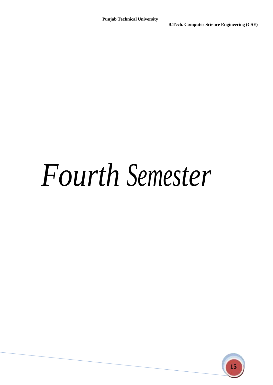## *Fourth Semester*

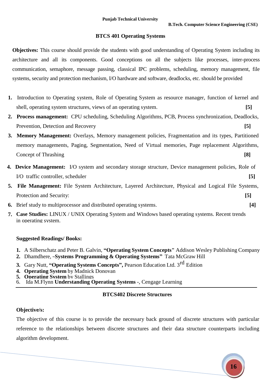#### **BTCS 401 Operating Systems**

**Objectives:** This course should provide the students with good understanding of Operating System including its architecture and all its components. Good conceptions on all the subjects like processes, inter-process communication, semaphore, message passing, classical IPC problems, scheduling, memory management, file systems, security and protection mechanism, I/O hardware and software, deadlocks, etc. should be provided

- **1.** Introduction to Operating system, Role of Operating System as resource manager, function of kernel and shell, operating system structures, views of an operating system. **[5]**
- **2. Process management:** CPU scheduling, Scheduling Algorithms, PCB, Process synchronization, Deadlocks, Prevention, Detection and Recovery **[5]**
- **3. Memory Management:** Overlays, Memory management policies, Fragmentation and its types, Partitioned memory managements, Paging, Segmentation, Need of Virtual memories, Page replacement Algorithms, Concept of Thrashing **[8]**
- **4. Device Management:** I/O system and secondary storage structure, Device management policies, Role of I/O traffic controller, scheduler **[5]**
- **5. File Management:** File System Architecture, Layered Architecture, Physical and Logical File Systems, Protection and Security: **[5]**
- **6.** Brief study to multiprocessor and distributed operating systems. **[4]**
- **7. Case Studies:** LINUX / UNIX Operating System and Windows based operating systems. Recent trends  in operating system.

#### **Suggested Readings/ Books:**

- **1.** A Silberschatz and Peter B. Galvin, **"Operating System Concepts"** Addison Wesley Publishing Company
- **2.** Dhamdhere, ―**Systems Programming & Operating Systems"** Tata McGraw Hill
- **3.** Gary Nutt, **"Operating Systems Concepts",** Pearson Education Ltd. 3 rd Edition
- **4. Operating System** by Madnick Donovan
- **5. Operating System** by Stallings
- 6. Ida M.Flynn **Understanding Operating Systems** -, Cengage Learning

### **BTCS402 Discrete Structures**

#### **Objective/s:**

The objective of this course is to provide the necessary back ground of discrete structures with particular reference to the relationships between discrete structures and their data structure counterparts including algorithm development.

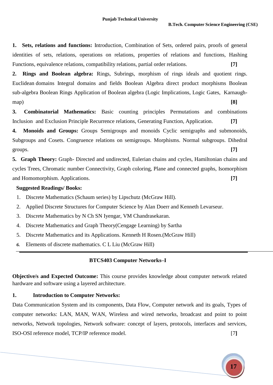**1. Sets, relations and functions:** Introduction, Combination of Sets, ordered pairs, proofs of general identities of sets, relations, operations on relations, properties of relations and functions, Hashing Functions, equivalence relations, compatibility relations, partial order relations. **[7]**

**2. Rings and Boolean algebra:** Rings, Subrings, morphism of rings ideals and quotient rings. Euclidean domains Integral domains and fields Boolean Algebra direct product morphisms Boolean sub-algebra Boolean Rings Application of Boolean algebra (Logic Implications, Logic Gates, Karnaughmap) **[8]**

**3. Combinatorial Mathematics:** Basic counting principles Permutations and combinations Inclusion and Exclusion Principle Recurrence relations, Generating Function, Application. **[7]**

**4. Monoids and Groups:** Groups Semigroups and monoids Cyclic semigraphs and submonoids, Subgroups and Cosets. Congruence relations on semigroups. Morphisms. Normal subgroups. Dihedral groups. **[7]**

**5. Graph Theory:** Graph- Directed and undirected, Eulerian chains and cycles, Hamiltonian chains and cycles Trees, Chromatic number Connectivity, Graph coloring, Plane and connected graphs, Isomorphism and Homomorphism. Applications. **[7]**

#### **Suggested Readings/ Books:**

- 1. Discrete Mathematics (Schaum series) by Lipschutz (McGraw Hill).
- 2. Applied Discrete Structures for Computer Science by Alan Doerr and Kenneth Levarseur.
- 3. Discrete Mathematics by N Ch SN Iyengar, VM Chandrasekaran.
- 4. Discrete Mathematics and Graph Theory(Cengage Learning) by Sartha
- 5. Discrete Mathematics and its Applications. Kenneth H Rosen.(McGraw Hill)
- *6.* Elements of discrete mathematics. C L Liu (McGraw Hill)

#### **BTCS403 Computer Networks–I**

**Objective/s and Expected Outcome:** This course provides knowledge about computer network related hardware and software using a layered architecture.

#### **1. Introduction to Computer Networks:**

Data Communication System and its components, Data Flow, Computer network and its goals, Types of computer networks: LAN, MAN, WAN, Wireless and wired networks, broadcast and point to point networks, Network topologies, Network software: concept of layers, protocols, interfaces and services, ISO-OSI reference model, TCP/IP reference model. [7**]**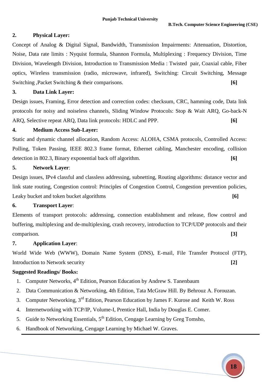#### **2. Physical Layer:**

Concept of Analog & Digital Signal, Bandwidth, Transmission Impairments: Attenuation, Distortion, Noise, Data rate limits : Nyquist formula, Shannon Formula, Multiplexing : Frequency Division, Time Division, Wavelength Division, Introduction to Transmission Media : Twisted pair, Coaxial cable, Fiber optics, Wireless transmission (radio, microwave, infrared), Switching: Circuit Switching, Message Switching ,Packet Switching & their comparisons. **[6]**

#### **3. Data Link Layer:**

Design issues, Framing, Error detection and correction codes: checksum, CRC, hamming code, Data link protocols for noisy and noiseless channels, Sliding Window Protocols: Stop & Wait ARQ, Go-back-N ARQ, Selective repeat ARQ, Data link protocols: HDLC and PPP. **[6]**

#### **4. Medium Access Sub-Layer:**

Static and dynamic channel allocation, Random Access: ALOHA, CSMA protocols, Controlled Access: Polling, Token Passing, IEEE 802.3 frame format, Ethernet cabling, Manchester encoding, collision detection in 802.3, Binary exponential back off algorithm. **[6]**

#### **5. Network Layer**:

Design issues, IPv4 classful and classless addressing, subnetting, Routing algorithms: distance vector and link state routing, Congestion control: Principles of Congestion Control, Congestion prevention policies, Leaky bucket and token bucket algorithms **[6]**

#### **6. Transport Layer**:

Elements of transport protocols: addressing, connection establishment and release, flow control and buffering, multiplexing and de-multiplexing, crash recovery, introduction to TCP/UDP protocols and their comparison. **[3]**

#### **7. Application Layer**:

World Wide Web (WWW), Domain Name System (DNS), E-mail, File Transfer Protocol (FTP), Introduction to Network security **[2]**

- 1. Computer Networks, 4<sup>th</sup> Edition, Pearson Education by Andrew S. Tanenbaum
- 2. Data Communication & Networking, 4th Edition, Tata McGraw Hill. By Behrouz A. Forouzan.
- 3. Computer Networking, 3<sup>rd</sup> Edition, Pearson Education by James F. Kurose and Keith W. Ross
- 4. Internetworking with TCP/IP, Volume-I, Prentice Hall, India by Douglas E. Comer.
- 5. Guide to Networking Essentials,  $5<sup>th</sup>$  Edition, Cengage Learning by Greg Tomsho,
- 6. Handbook of Networking, Cengage Learning by Michael W. Graves.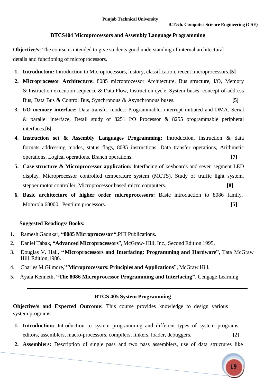#### **BTCS404 Microprocessors and Assembly Language Programming**

**Objective/s:** The course is intended to give students good understanding of internal architectural details and functioning of microprocessors.

- **1. Introduction:** Introduction to Microprocessors, history, classification, recent microprocessors.**[5]**
- **2. Microprocessor Architecture:** 8085 microprocessor Architecture. Bus structure, I/O, Memory & Instruction execution sequence & Data Flow, Instruction cycle. System buses, concept of address Bus, Data Bus & Control Bus, Synchronous & Asynchronous buses. **[5]**
- **3. I/O memory interface:** Data transfer modes: Programmable, interrupt initiated and DMA. Serial & parallel interface, Detail study of 8251 I/O Processor & 8255 programmable peripheral interfaces.**[6]**
- **4. Instruction set & Assembly Languages Programming:** Introduction, instruction & data formats, addressing modes, status flags, 8085 instructions, Data transfer operations, Arithmetic operations, Logical operations, Branch operations. **[7]**
- **5. Case structure & Microprocessor application:** Interfacing of keyboards and seven segment LED display, Microprocessor controlled temperature system (MCTS), Study of traffic light system, stepper motor controller, Microprocessor based micro computers. **[8]**
- **6. Basic architecture of higher order microprocessors:** Basic introduction to 8086 family, Motorola 68000, Pentium processors. **[5]**

#### **Suggested Readings/ Books:**

- **1.** Ramesh Gaonkar, **"8085 Microprocessor "**,PHI Publications.
- 2. Daniel Tabak, **"Advanced Microprocessors**", McGraw- Hill, Inc., Second Edition 1995.
- 3. Douglas V. Hall, **"Microprocessors and Interfacing: Programming and Hardware"**, Tata McGraw Hill Edition,1986.
- 4. Charles M.Gilmore,**" Microprocessors: Principles and Applications"**, McGraw Hill.
- 5. Ayala Kenneth, **"The 8086 Microprocessor Programming and Interfacing"**, Cengage Learning

#### **BTCS 405 System Programming**

**Objective/s and Expected Outcome:** This course provides knowledge to design various system programs.

- **1. Introduction:** Introduction to system programming and different types of system programs editors, assemblers, macro-processors, compilers, linkers, loader, debuggers. **[2]**
- **2. Assemblers:** Description of single pass and two pass assemblers, use of data structures like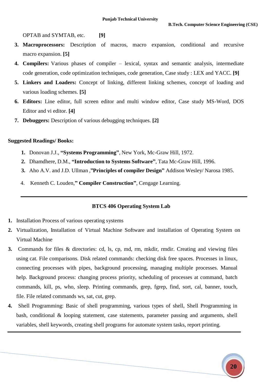OPTAB and SYMTAB, etc. **[9]**

- **3. Macroprocessors:** Description of macros, macro expansion, conditional and recursive macro expansion. **[5]**
- **4. Compilers:** Various phases of compiler lexical, syntax and semantic analysis, intermediate code generation, code optimization techniques, code generation, Case study : LEX and YACC. **[9]**
- **5. Linkers and Loaders:** Concept of linking, different linking schemes, concept of loading and various loading schemes. **[5]**
- **6. Editors:** Line editor, full screen editor and multi window editor, Case study MS-Word, DOS Editor and vi editor. **[4]**
- **7. Debuggers:** Description of various debugging techniques. **[2]**

#### **Suggested Readings/ Books:**

- **1.** Donovan J.J., **"Systems Programming"**, New York, Mc-Graw Hill, 1972.
- **2.** Dhamdhere, D.M., **"Introduction to Systems Software"**, Tata Mc-Graw Hill, 1996.
- **3.** Aho A.V. and J.D. Ullman ,**"Principles of compiler Design"** Addison Wesley/ Narosa 1985.
- 4.Kenneth C. Louden,**" Compiler Construction"**, Cengage Learning.

#### **BTCS 406 Operating System Lab**

- **1.** Installation Process of various operating systems
- **2.** Virtualization, Installation of Virtual Machine Software and installation of Operating System on Virtual Machine
- **3.** Commands for files & directories: cd, ls, cp, md, rm, mkdir, rmdir. Creating and viewing files using cat. File comparisons. Disk related commands: checking disk free spaces. Processes in linux, connecting processes with pipes, background processing, managing multiple processes. Manual help. Background process: changing process priority, scheduling of processes at command, batch commands, kill, ps, who, sleep. Printing commands, grep, fgrep, find, sort, cal, banner, touch, file. File related commands ws, sat, cut, grep.
- **4.** Shell Programming: Basic of shell programming, various types of shell, Shell Programming in bash, conditional & looping statement, case statements, parameter passing and arguments, shell variables, shell keywords, creating shell programs for automate system tasks, report printing.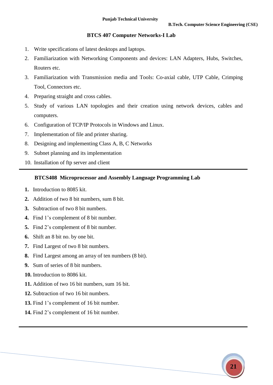#### **BTCS 407 Computer Networks-I Lab**

- 1. Write specifications of latest desktops and laptops.
- 2. Familiarization with Networking Components and devices: LAN Adapters, Hubs, Switches, Routers etc.
- 3. Familiarization with Transmission media and Tools: Co-axial cable, UTP Cable, Crimping Tool, Connectors etc.
- 4. Preparing straight and cross cables.
- 5. Study of various LAN topologies and their creation using network devices, cables and computers.
- 6. Configuration of TCP/IP Protocols in Windows and Linux.
- 7. Implementation of file and printer sharing.
- 8. Designing and implementing Class A, B, C Networks
- 9. Subnet planning and its implementation
- 10. Installation of ftp server and client

#### **BTCS408 Microprocessor and Assembly Language Programming Lab**

- **1.** Introduction to 8085 kit.
- **2.** Addition of two 8 bit numbers, sum 8 bit.
- **3.** Subtraction of two 8 bit numbers.
- **4.** Find 1's complement of 8 bit number.
- **5.** Find 2's complement of 8 bit number.
- **6.** Shift an 8 bit no. by one bit.
- **7.** Find Largest of two 8 bit numbers.
- **8.** Find Largest among an array of ten numbers (8 bit).
- **9.** Sum of series of 8 bit numbers.
- **10.** Introduction to 8086 kit.
- **11.** Addition of two 16 bit numbers, sum 16 bit.
- **12.** Subtraction of two 16 bit numbers.
- **13.** Find 1's complement of 16 bit number.
- **14.** Find 2's complement of 16 bit number.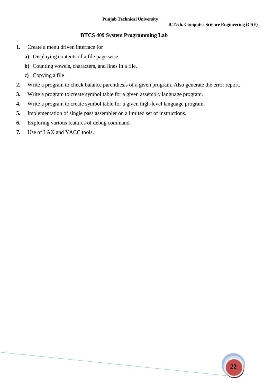#### **BTCS 409 System Programming Lab**

- **1.** Create a menu driven interface for
	- **a)** Displaying contents of a file page wise
	- **b)** Counting vowels, characters, and lines in a file.
	- **c)** Copying a file
- **2.** Write a program to check balance parenthesis of a given program. Also generate the error report.
- **3.** Write a program to create symbol table for a given assembly language program.
- **4.** Write a program to create symbol table for a given high-level language program.
- **5.** Implementation of single pass assembler on a limited set of instructions.
- **6.** Exploring various features of debug command.
- **7.** Use of LAX and YACC tools.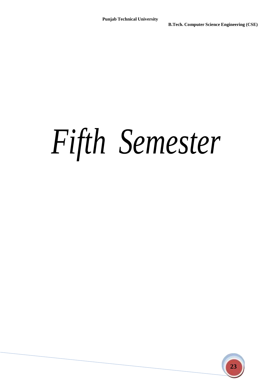# *Fifth Semester*

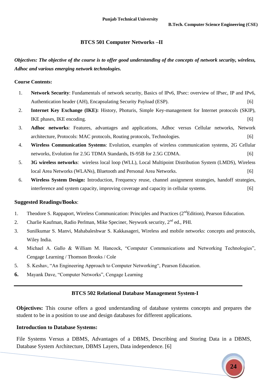#### **BTCS 501 Computer Networks –II**

*Objectives: The objective of the course is to offer good understanding of the concepts of network security, wireless, Adhoc and various emerging network technologies.*

#### **Course Contents:**

- 1. **Network Security**: Fundamentals of network security, Basics of IPv6, IPsec: overview of IPsec, IP and IPv6, Authentication header (AH), Encapsulating Security Payload (ESP). [6]
- 2. **Internet Key Exchange (IKE):** History, Photuris, Simple Key-management for Internet protocols (SKIP), IKE phases, IKE encoding. [6]
- 3. **Adhoc networks**: Features, advantages and applications, Adhoc versus Cellular networks, Network architecture, Protocols: MAC protocols, Routing protocols, Technologies. [6]
- 4. **Wireless Communication Systems**: Evolution, examples of wireless communication systems, 2G Cellular networks, Evolution for 2.5G TDMA Standards, IS-95B for 2.5G CDMA. [6]
- 5. **3G wireless networks**: wireless local loop (WLL), Local Multipoint Distribution System (LMDS), Wireless local Area Networks (WLANs), Bluetooth and Personal Area Networks. [6]
- 6. **Wireless System Design:** Introduction, Frequency reuse, channel assignment strategies, handoff strategies, interference and system capacity, improving coverage and capacity in cellular systems. [6]

#### **Suggested Readings/Books**:

- 1. Theodore S. Rappaport, Wireless Communication: Principles and Practices (2<sup>nd</sup>Edition), Pearson Education.
- 2. Charlie Kaufman, Radio Perlman, Mike Speciner, Neywork security, 2<sup>nd</sup> ed., PHI.
- 3. Sunilkumar S. Manvi, Mahabaleshwar S. Kakkasageri, Wireless and mobile networks: concepts and protocols, Wiley India.
- 4. Michael A. Gallo & William M. Hancock, "Computer Communications and Networking Technologies", Cengage Learning / Thomson Brooks / Cole
- 5. S. Keshav, "An Engineering Approach to Computer Networking", Pearson Education.

**6.** Mayank Dave, "Computer Networks", Cengage Learning

#### **BTCS 502 Relational Database Management System-I**

**Objectives:** This course offers a good understanding of database systems concepts and prepares the student to be in a position to use and design databases for different applications.

#### **Introduction to Database Systems:**

File Systems Versus a DBMS, Advantages of a DBMS, Describing and Storing Data in a DBMS, Database System Architecture, DBMS Layers, Data independence. [6]

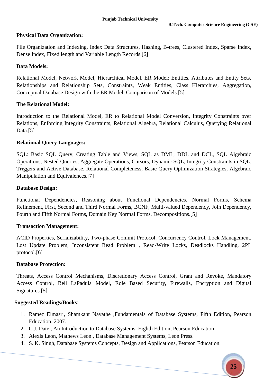#### **Physical Data Organization:**

File Organization and Indexing, Index Data Structures, Hashing, B-trees, Clustered Index, Sparse Index, Dense Index, Fixed length and Variable Length Records.[6]

#### **Data Models:**

Relational Model, Network Model, Hierarchical Model, ER Model: Entities, Attributes and Entity Sets, Relationships and Relationship Sets, Constraints, Weak Entities, Class Hierarchies, Aggregation, Conceptual Database Design with the ER Model, Comparison of Models.[5]

#### **The Relational Model:**

Introduction to the Relational Model, ER to Relational Model Conversion, Integrity Constraints over Relations, Enforcing Integrity Constraints, Relational Algebra, Relational Calculus, Querying Relational Data.<sup>[5]</sup>

#### **Relational Query Languages:**

SQL: Basic SQL Query, Creating Table and Views, SQL as DML, DDL and DCL, SQL Algebraic Operations, Nested Queries, Aggregate Operations, Cursors, Dynamic SQL, Integrity Constraints in SQL, Triggers and Active Database, Relational Completeness, Basic Query Optimization Strategies, Algebraic Manipulation and Equivalences.[7]

#### **Database Design:**

Functional Dependencies, Reasoning about Functional Dependencies, Normal Forms, Schema Refinement, First, Second and Third Normal Forms, BCNF, Multi-valued Dependency, Join Dependency, Fourth and Fifth Normal Forms, Domain Key Normal Forms, Decompositions.[5]

#### **Transaction Management:**

ACID Properties, Serializability, Two-phase Commit Protocol, Concurrency Control, Lock Management, Lost Update Problem, Inconsistent Read Problem , Read-Write Locks, Deadlocks Handling, 2PL protocol.[6]

#### **Database Protection:**

Threats, Access Control Mechanisms, Discretionary Access Control, Grant and Revoke, Mandatory Access Control, Bell LaPadula Model, Role Based Security, Firewalls, Encryption and Digital Signatures.[5]

- 1. Ramez Elmasri, Shamkant Navathe ,Fundamentals of Database Systems, Fifth Edition, Pearson Education, 2007.
- 2. C.J. Date , An Introduction to Database Systems, Eighth Edition, Pearson Education
- 3. Alexis Leon, Mathews Leon , Database Management Systems, Leon Press.
- 4. S. K. Singh, Database Systems Concepts, Design and Applications, Pearson Education.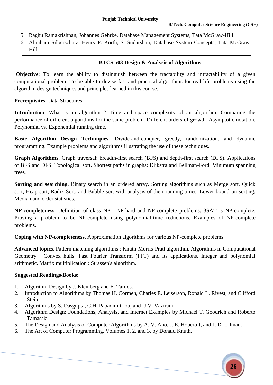- 5. Raghu Ramakrishnan, Johannes Gehrke, Database Management Systems, Tata McGraw-Hill.
- 6. Abraham Silberschatz, Henry F. Korth, S. Sudarshan, Database System Concepts, Tata McGraw-Hill.

#### **BTCS 503 Design & Analysis of Algorithms**

**Objective**: To learn the ability to distinguish between the tractability and intractability of a given computational problem. To be able to devise fast and practical algorithms for real-life problems using the algorithm design techniques and principles learned in this course.

#### **Prerequisites**: Data Structures

**Introduction**. What is an algorithm ? Time and space complexity of an algorithm. Comparing the performance of different algorithms for the same problem. Different orders of growth. Asymptotic notation. Polynomial vs. Exponential running time.

**Basic Algorithm Design Techniques.** Divide-and-conquer, greedy, randomization, and dynamic programming. Example problems and algorithms illustrating the use of these techniques.

**Graph Algorithms**. Graph traversal: breadth-first search (BFS) and depth-first search (DFS). Applications of BFS and DFS. Topological sort. Shortest paths in graphs: Dijkstra and Bellman-Ford. Minimum spanning trees.

**Sorting and searching**. Binary search in an ordered array. Sorting algorithms such as Merge sort, Quick sort, Heap sort, Radix Sort, and Bubble sort with analysis of their running times. Lower bound on sorting. Median and order statistics.

**NP-completeness**. Definition of class NP. NP-hard and NP-complete problems. 3SAT is NP-complete. Proving a problem to be NP-complete using polynomial-time reductions. Examples of NP-complete problems.

**Coping with NP-completeness.** Approximation algorithms for various NP-complete problems.

**Advanced topics**. Pattern matching algorithms : Knuth-Morris-Pratt algorithm. Algorithms in Computational Geometry : Convex hulls. Fast Fourier Transform (FFT) and its applications. Integer and polynomial arithmetic. Matrix multiplication : Strassen's algorithm.

- 1. Algorithm Design by J. Kleinberg and E. Tardos.
- 2. Introduction to Algorithms by Thomas H. Cormen, Charles E. Leiserson, Ronald L. Rivest, and Clifford Stein.
- 3. Algorithms by S. Dasgupta, C.H. Papadimitriou, and U.V. Vazirani.
- 4. Algorithm Design: Foundations, Analysis, and Internet Examples by Michael T. Goodrich and Roberto Tamassia.
- 5. The Design and Analysis of Computer Algorithms by A. V. Aho, J. E. Hopcroft, and J. D. Ullman.
- 6. The Art of Computer Programming, Volumes 1, 2, and 3, by Donald Knuth.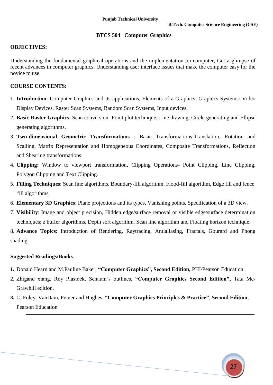#### **BTCS 504 Computer Graphics**

#### **OBJECTIVES:**

Understanding the fundamental graphical operations and the implementation on computer, Get a glimpse of recent advances in computer graphics, Understanding user interface issues that make the computer easy for the novice to use.

#### **COURSE CONTENTS:**

- 1. **Introduction**: Computer Graphics and its applications, Elements of a Graphics, Graphics Systems: Video Display Devices, Raster Scan Systems, Random Scan Systems, Input devices.
- 2. **Basic Raster Graphics**: Scan conversion- Point plot technique, Line drawing, Circle generating and Ellipse generating algorithms.
- 3. **Two-dimensional Geometric Transformations** : Basic Transformations-Translation, Rotation and Scalling, Matrix Representation and Homogeneous Coordinates, Composite Transformations, Reflection and Shearing transformations.
- 4. **Clipping:** Window to viewport transformation, Clipping Operations- Point Clipping, Line Clipping, Polygon Clipping and Text Clipping.
- 5. **Filling Techniques**: Scan line algorithms, Boundary-fill algorithm, Flood-fill algorithm, Edge fill and fence fill algorithms,
- 6. **Elementary 3D Graphics**: Plane projections and its types, Vanishing points, Specification of a 3D view.
- 7. **Visibility**: Image and object precision, Hidden edge/surface removal or visible edge/surface determination techniques; z buffer algorithms, Depth sort algorithm, Scan line algorithm and Floating horizon technique.

8. **Advance Topics**: Introduction of Rendering, Raytracing, Antialiasing, Fractals, Gourard and Phong shading.

- **1.** Donald Hearn and M.Pauline Baker, **"Computer Graphics", Second Edition,** PHI/Pearson Education.
- **2.** Zhigand xiang, Roy Plastock, Schaum's outlines, **"Computer Graphics Second Edition",** Tata Mc-Grawhill edition.
- **3.** C, Foley, VanDam, Feiner and Hughes, **"Computer Graphics Principles & Practice"**, **Second Edition**, Pearson Education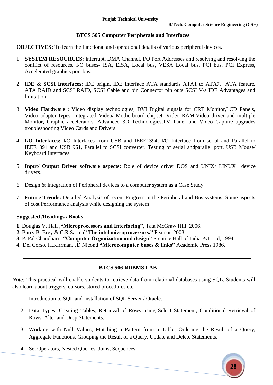#### **BTCS 505 Computer Peripherals and Interfaces**

**OBJECTIVES:** To learn the functional and operational details of various peripheral devices.

- 1. **SYSTEM RESOURCES**: Interrupt, DMA Channel, I/O Port Addresses and resolving and resolving the conflict of resources. I/O buses**-** ISA, EISA, Local bus, VESA Local bus, PCI bus, PCI Express, Accelerated graphics port bus.
- 2. **IDE & SCSI Interfaces**: IDE origin, IDE Interface ATA standards ATA1 to ATA7. ATA feature, ATA RAID and SCSI RAID, SCSI Cable and pin Connector pin outs SCSI V/s IDE Advantages and limitation.
- 3. **Video Hardware** : Video display technologies, DVI Digital signals for CRT Monitor,LCD Panels, Video adapter types, Integrated Video/ Motherboard chipset, Video RAM,Video driver and multiple Monitor, Graphic accelerators. Advanced 3D Technologies,TV Tuner and Video Capture upgrades troubleshooting Video Cards and Drivers.
- 4. **I/O Interfaces:** I/O Interfaces from USB and IEEE1394, I/O Interface from serial and Parallel to IEEE1394 and USB 961, Parallel to SCSI converter. Testing of serial andparallel port, USB Mouse/ Keyboard Interfaces.
- 5. **Input/ Output Driver software aspects:** Role of device driver DOS and UNIX/ LINUX device drivers.
- 6. Design & Integration of Peripheral devices to a computer system as a Case Study
- 7. **Future Trends:** Detailed Analysis of recent Progress in the Peripheral and Bus systems. Some aspects of cost Performance analysis while designing the system

#### **Suggested /Readings / Books**

- **1.** Douglas V. Hall ,**"Microprocessors and Interfacing",** Tata McGraw Hill 2006.
- **2.** Barry B. Brey & C.R.Sarma**" The intel microprocessors,"** Pearson 2003.
- **3.** P. Pal Chandhari , **"Computer Organization and design"** Prentice Hall of India Pvt. Ltd, 1994.
- **4.** Del Corso, H.Kirrman, JD Nicond **"Microcomputer buses & links"** Academic Press 1986.

#### **BTCS 506 RDBMS LAB**

*Note:* This practical will enable students to retrieve data from relational databases using SQL. Students will also learn about triggers, cursors, stored procedures etc.

- 1. Introduction to SQL and installation of SQL Server / Oracle.
- 2. Data Types, Creating Tables, Retrieval of Rows using Select Statement, Conditional Retrieval of Rows, Alter and Drop Statements.
- 3. Working with Null Values, Matching a Pattern from a Table, Ordering the Result of a Query, Aggregate Functions, Grouping the Result of a Query, Update and Delete Statements.
- 4. Set Operators, Nested Queries, Joins, Sequences.

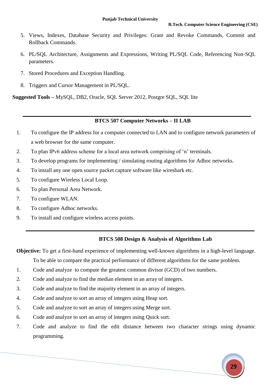- 5. Views, Indexes, Database Security and Privileges: Grant and Revoke Commands, Commit and Rollback Commands.
- 6. PL/SQL Architecture, Assignments and Expressions, Writing PL/SQL Code, Referencing Non-SQL parameters.
- 7. Stored Procedures and Exception Handling.
- 8. Triggers and Cursor Management in PL/SQL.

**Suggested Tools –** MySQL, DB2, Oracle, SQL Server 2012, Postgre SQL, SQL lite

#### **BTCS 507 Computer Networks – II LAB**

- 1. To configure the IP address for a computer connected to LAN and to configure network parameters of a web browser for the same computer.
- 2. To plan IPv6 address scheme for a local area network comprising of 'n' terminals.
- 3. To develop programs for implementing / simulating routing algorithms for Adhoc networks.
- 4. To install any one open source packet capture software like wireshark etc.
- 5. To configure Wireless Local Loop.
- 6. To plan Personal Area Network.
- 7. To configure WLAN.
- 8. To configure Adhoc networks.
- 9. To install and configure wireless access points.

#### **BTCS 508 Design & Analysis of Algorithms Lab**

**Objective:** To get a first-hand experience of implementing well-known algorithms in a high-level language.

To be able to compare the practical performance of different algorithms for the same problem.

- 1. Code and analyze to compute the greatest common divisor (GCD) of two numbers.
- 2. Code and analyze to find the median element in an array of integers.
- 3. Code and analyze to find the majority element in an array of integers.
- 4. Code and analyze to sort an array of integers using Heap sort.
- 5. Code and analyze to sort an array of integers using Merge sort.
- 6. Code and analyze to sort an array of integers using Quick sort.
- 7. Code and analyze to find the edit distance between two character strings using dynamic programming.

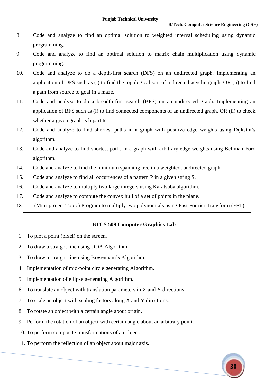- 8. Code and analyze to find an optimal solution to weighted interval scheduling using dynamic programming.
- 9. Code and analyze to find an optimal solution to matrix chain multiplication using dynamic programming.
- 10. Code and analyze to do a depth-first search (DFS) on an undirected graph. Implementing an application of DFS such as (i) to find the topological sort of a directed acyclic graph, OR (ii) to find a path from source to goal in a maze.
- 11. Code and analyze to do a breadth-first search (BFS) on an undirected graph. Implementing an application of BFS such as (i) to find connected components of an undirected graph, OR (ii) to check whether a given graph is bipartite.
- 12. Code and analyze to find shortest paths in a graph with positive edge weights using Dijkstra's algorithm.
- 13. Code and analyze to find shortest paths in a graph with arbitrary edge weights using Bellman-Ford algorithm.
- 14. Code and analyze to find the minimum spanning tree in a weighted, undirected graph.
- 15. Code and analyze to find all occurrences of a pattern P in a given string S.
- 16. Code and analyze to multiply two large integers using Karatsuba algorithm.
- 17. Code and analyze to compute the convex hull of a set of points in the plane.
- 18. (Mini-project Topic) Program to multiply two polynomials using Fast Fourier Transform (FFT).

#### **BTCS 509 Computer Graphics Lab**

- 1. To plot a point (pixel) on the screen.
- 2. To draw a straight line using DDA Algorithm.
- 3. To draw a straight line using Bresenham's Algorithm.
- 4. Implementation of mid-point circle generating Algorithm.
- 5. Implementation of ellipse generating Algorithm.
- 6. To translate an object with translation parameters in X and Y directions.
- 7. To scale an object with scaling factors along X and Y directions.
- 8. To rotate an object with a certain angle about origin.
- 9. Perform the rotation of an object with certain angle about an arbitrary point.
- 10. To perform composite transformations of an object.
- 11. To perform the reflection of an object about major axis.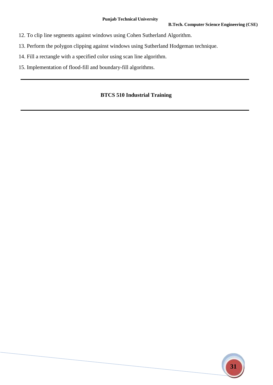- 12. To clip line segments against windows using Cohen Sutherland Algorithm.
- 13. Perform the polygon clipping against windows using Sutherland Hodgeman technique.
- 14. Fill a rectangle with a specified color using scan line algorithm.
- 15. Implementation of flood-fill and boundary-fill algorithms.

### **BTCS 510 Industrial Training**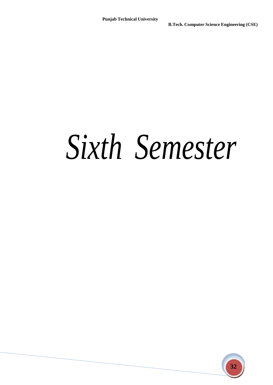## *Sixth Semester*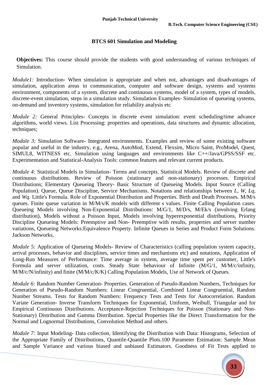#### **BTCS 601 Simulation and Modeling**

**Objectives:** This course should provide the students with good understanding of various techniques of Simulation.

*Module1:* Introduction**-** When simulation is appropriate and when not, advantages and disadvantages of simulation, application areas in communication, computer and software design, systems and systems environment, components of a system, discrete and continuous systems, model of a system, types of models, discrete-event simulation, steps in a simulation study. Simulation Examples- Simulation of queueing systems, on-demand and inventory systems, simulation for reliability analysis etc

*Module 2:* General Principles**-** Concepts in discrete event simulation: event scheduling/time advance algorithms, world views. List Processing: properties and operations, data structures and dynamic allocation, techniques;

*Module 3:* Simulation Software- Integrated environments. Examples and review of some existing software popular and useful in the industry, e.g., Arena, AutoMod, Extend, Flexsim, Micro Saint, ProModel, Quest, SIMUL8, WITNESS etc. Simulation using languages and environments like C++/Java/GPSS/SSF etc. Experimentation and Statistical-Analysis Tools: common features and relevant current products.

*Module 4:* Statistical Models in Simulation- Terms and concepts. Statistical Models. Review of discrete and continuous distributions. Review of Poisson (stationary and non-stationary) processes. Empirical Distributions; Elementary Queueing Theory- Basic Structure of Queueing Models. Input Source (Calling Population). Queue, Queue Discipline, Service Mechanisms. Notations and relationships between *L, W, Lq,*  and *Wq.* Little's Formula. Role of Exponential Distribution and Properties. Birth and Death Processes. M/M/s queues. Finite queue variation in M/M/s/K models with different s values. Finite Calling Population cases. Queueing Models involving Non-Exponential Distributions: M/G/1, M/D/s, M/Ek/s (involving Erlang distribution), Models without a Poisson Input, Models involving hyperexponential distributions, Priority Discipline Queueing Models: Preemptive and Non- Preemptive with results, properties and server number variations, Queueing Networks:Equivalence Property. Infinite Queues in Series and Product Form Solutions. Jackson Networks,

*Module 5:* Application of Queueing Models- Review of Characteristics (calling population system capacity, arrival processes, behavior and disciplines, service times and mechanisms etc) and notations, Application of Long-Run Measures of Performance: Time average in system, average time spent per customer, Little's Formula and server utilization, costs. Steady State behaviour of Infinite (M/G/1, M/M/c/infinity, M/M/c/N/infinity) and finite (M/M/c/K/K) Calling Population Models, Use of Network of Queues.

*Module 6:* Random Number Generation- Properties. Generation of Pseudo-Random Numbers, Techniques for Generation of Pseudo-Random Numbers: Linear Congruential, Combined Linear Congruential, Random Number Streams. Tests for Random Numbers: Frequency Tests and Tests for Autocorrelation. Random Variate Generation- Inverse Transform Techniques for Exponential, Uniform, Weibull, Triangular and for Empirical Continuous Distributions. Acceptance-Rejection Techniques for Poisson (Stationary and Non-Stationary) Distribution and Gamma Distribution. Special Properties like the Direct Transformation for the Normal and Lognormal Distributions, Convolution Method and others.

*Module 7:* Input Modeling- Data collection, Identifying the Distribution with Data: Histograms, Selection of the Appropriate Family of Distributions, Quantile-Quantile Plots.100 Parameter Estimation: Sample Mean and Sample Variance and various biased and unbiased Estimators. Goodness of Fit Tests applied to

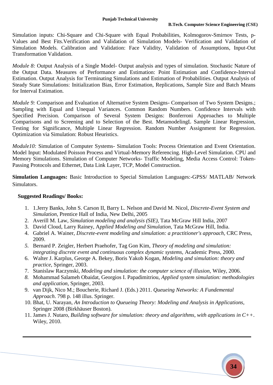Simulation inputs: Chi-Square and Chi-Square with Equal Probabilities, Kolmogorov-Smirnov Tests, p-Values and Best Fits.Verification and Validation of Simulation Models- Verification and Validation of Simulation Models. Calibration and Validation: Face Validity, Validation of Assumptions, Input-Out Transformation Validation.

*Module 8:* Output Analysis of a Single Model- Output analysis and types of simulation. Stochastic Nature of the Output Data. Measures of Performance and Estimation: Point Estimation and Confidence-Interval Estimation. Output Analysis for Terminating Simulations and Estimation of Probabilities. Output Analysis of Steady State Simulations: Initialization Bias, Error Estimation, Replications, Sample Size and Batch Means for Interval Estimation.

*Module 9:* Comparison and Evaluation of Alternative System Designs- Comparison of Two System Designs.; Sampling with Equal and Unequal Variances. Common Random Numbers. Confidence Intervals with Specified Precision. Comparison of Several System Designs: Bonferroni Approaches to Multiple Comparisons and to Screening and to Selection of the Best. MetamodelingL Sample Linear Regression, Testing for Significance, Multiple Linear Regression. Random Number Assignment for Regression. Optimization via Simulation: Robust Heuristics.

*Module10:* Simulation of Computer Systems- Simulation Tools: Process Orientation and Event Orientation. Model Input: Modulated Poisson Process and Virtual-Memory Referencing. High-Level Simulation. CPU and Memory Simulations. Simulation of Computer Networks- Traffic Modeling, Media Access Control: Token-Passing Protocols and Ethernet, Data Link Layer, TCP, Model Construction.

**Simulation Languages:** Basic Introduction to Special Simulation Languages:-GPSS/ MATLAB/ Network Simulators.

- 1. 1.Jerry Banks, John S. Carson II, Barry L. Nelson and David M. Nicol, *Discrete-Event System and Simulation,* Prentice Hall of India, New Delhi, 2005
- 2. Averill M. Law, *Simulation modeling and analysis (SIE),* Tata McGraw Hill India, 2007
- 3. David Cloud, Larry Rainey, A*pplied Modeling and Simulation,* Tata McGraw Hill, India.
- 4. Gabriel A. Wainer, *Discrete-event modeling and simulation: a practitioner's approach,* CRC Press, 2009.
- *5.* Bernard P. Zeigler, Herbert Praehofer, Tag Gon Kim, *Theory of modeling and simulation: integrating discrete event and continuous complex dynamic systems,* Academic Press, 2000.
- 6. Walter J. Karplus, George A. Bekey, Boris Yakob Kogan, *Modeling and simulation: theory and practice*, Springer, 2003.
- 7. Stanislaw Raczynski, *Modeling and simulation: the computer science of illusion,* Wiley, 2006.
- *8.* Mohammad Salameh Obaidat, Georgios I. Papadimitriou, *Applied system simulation: methodologies and application,* Springer, 2003.
- 9. van Dijk, Nico M.; Boucherie, Richard J. (Eds.) 2011. *Queueing Networks: A Fundemental Approach*. 798 p. 148 illus. Springer.
- 10. Bhat, U. Narayan, *An Introduction to Queueing Theory: Modeling and Analysis in Applications,*  Springer 2008 (Birkhäuser Boston).
- 11. James J. Nutaro, *Building software for simulation: theory and algorithms, with applications in C++*. Wiley, 2010.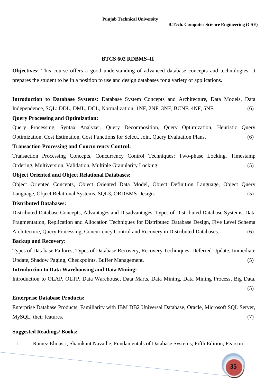#### **BTCS 602 RDBMS–II**

**Objectives:** This course offers a good understanding of advanced database concepts and technologies. It prepares the student to be in a position to use and design databases for a variety of applications.

**Introduction to Database Systems:** Database System Concepts and Architecture, Data Models, Data Independence, SQL: DDL, DML, DCL, Normalization: 1NF, 2NF, 3NF, BCNF, 4NF, 5NF. (6)

#### **Query Processing and Optimization:**

Query Processing, Syntax Analyzer, Query Decomposition, Query Optimization, Heuristic Query Optimization, Cost Estimation, Cost Functions for Select, Join, Query Evaluation Plans. (6)

#### **Transaction Processing and Concurrency Control:**

Transaction Processing Concepts, Concurrency Control Techniques: Two-phase Locking, Timestamp Ordering, Multiversion, Validation, Multiple Granularity Locking. (5)

#### **Object Oriented and Object Relational Databases:**

Object Oriented Concepts, Object Oriented Data Model, Object Definition Language, Object Query Language, Object Relational Systems, SQL3, ORDBMS Design. (5)

#### **Distributed Databases:**

Distributed Database Concepts, Advantages and Disadvantages, Types of Distributed Database Systems, Data Fragmentation, Replication and Allocation Techniques for Distributed Database Design, Five Level Schema Architecture, Query Processing, Concurrency Control and Recovery in Distributed Databases. (6)

#### **Backup and Recovery:**

Types of Database Failures, Types of Database Recovery, Recovery Techniques: Deferred Update, Immediate Update, Shadow Paging, Checkpoints, Buffer Management. (5)

#### **Introduction to Data Warehousing and Data Mining:**

Introduction to OLAP, OLTP, Data Warehouse, Data Marts, Data Mining, Data Mining Process, Big Data.

**Enterprise Database Products:**

Enterprise Database Products, Familiarity with IBM DB2 Universal Database, Oracle, Microsoft SQL Server, MySQL, their features. (7)

#### **Suggested Readings/ Books:**

1. Ramez Elmasri, Shamkant Navathe, Fundamentals of Database Systems, Fifth Edition, Pearson



(5)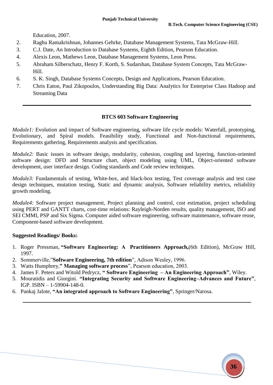Education, 2007.

- 2. Raghu Ramakrishnan, Johannes Gehrke, Database Management Systems, Tata McGraw-Hill.
- 3. C.J. Date, An Introduction to Database Systems, Eighth Edition, Pearson Education.
- 4. Alexis Leon, Mathews Leon, Database Management Systems, Leon Press.
- 5. Abraham Silberschatz, Henry F. Korth, S. Sudarshan, Database System Concepts, Tata McGraw-Hill.
- 6. S. K. Singh, Database Systems Concepts, Design and Applications, Pearson Education.
- 7. Chris Eaton, Paul Zikopoulos, Understanding Big Data: Analytics for Enterprise Class Hadoop and Streaming Data

#### **BTCS 603 Software Engineering**

*Module1*: Evolution and impact of Software engineering, software life cycle models: Waterfall, prototyping, Evolutionary, and Spiral models. Feasibility study, Functional and Non-functional requirements, Requirements gathering, Requirements analysis and specification.

*Module2*: Basic issues in software design, modularity, cohesion, coupling and layering, function-oriented software design: DFD and Structure chart, object modeling using UML, Object-oriented software development, user interface design. Coding standards and Code review techniques.

*Module3*: Fundamentals of testing, White-box, and black-box testing, Test coverage analysis and test case design techniques, mutation testing, Static and dynamic analysis, Software reliability metrics, reliability growth modeling.

*Module4:* Software project management, Project planning and control, cost estimation, project scheduling using PERT and GANTT charts, cost-time relations: Rayleigh-Norden results, quality management, ISO and SEI CMMI, PSP and Six Sigma. Computer aided software engineering, software maintenance, software reuse, Component-based software development.

- 1. Roger Pressman, **"Software Engineering: A Practitioners Approach,**(6th Edition), McGraw Hill, 1997.
- 2. Sommerville,"**Software Engineering, 7th edition**", Adison Wesley, 1996.
- 3. Watts Humphrey,**" Managing software process**", Pearson education, 2003.
- 4. James F. Peters and Witold Pedrycz, **" Software Engineering – An Engineering Approach"**, Wiley.
- 5. Mouratidis and Giorgini. **"Integrating Security and Software Engineering–Advances and Future"**, IGP. ISBN – 1-59904-148-0.
- 6. Pankaj Jalote, **"An integrated approach to Software Engineering"**, Springer/Narosa.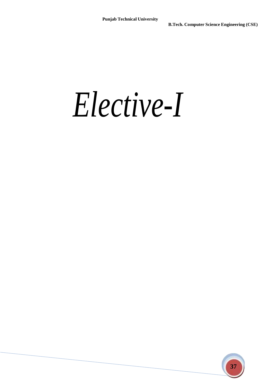*Elective-I*

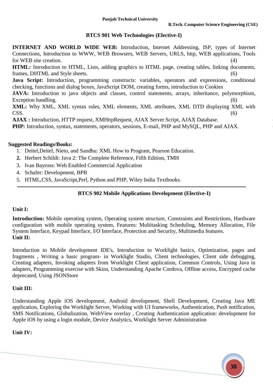#### **BTCS 901 Web Technologies (Elective-I)**

**INTERNET AND WORLD WIDE WEB:** Introduction, Internet Addressing, ISP, types of Internet Connections, Introduction to WWW, WEB Browsers, WEB Servers, URLS, http, WEB applications, Tools for WEB site creation. (4) **HTML:** Introduction to HTML, Lists, adding graphics to HTML page, creating tables, linking documents, frames, DHTML and Style sheets. (6) **Java Script:** Introduction, programming constructs: variables, operators and expressions, conditional checking, functions and dialog boxes, JavaScript DOM, creating forms, introduction to Cookies JAVA: Introduction to java objects and classes, control statements, arrays, inheritance, polymorphism, Exception handling. (6) **XML:** Why XML, XML syntax rules, XML elements, XML attributes, XML DTD displaying XML with

 $CSS.$  (6) **AJAX :** Introduction, HTTP request, XMHttpRequest, AJAX Server Script, AJAX Database. (6)

**PHP:** Introduction, syntax, statements, operators, sessions, E-mail, PHP and MySQL, PHP and AJAX.

#### **Suggested Readings/Books:**

- 1. Deitel,Deitel, Nieto, and Sandhu: XML How to Program, Pearson Education.
- **2.** Herbert Schildt: Java 2: The Complete Reference, Fifth Edition, TMH
- 3. Ivan Bayross: Web Enabled Commercial Application
- 4. Schafer: Development, BPB
- 5. HTML,CSS, JavaScript,Perl, Python and PHP, Wiley India Textbooks.

#### **BTCS 902 Mobile Applications Development (Elective-I)**

#### **Unit I:**

**Introduction:** Mobile operating system, Operating system structure, Constraints and Restrictions, Hardware configuration with mobile operating system, Features: Multitasking Scheduling, Memory Allocation, File System Interface, Keypad Interface, I/O Interface, Protection and Security, Multimedia features. **Unit II:**

Introduction to Mobile development IDE's, Introduction to Worklight basics, Optimization, pages and fragments , Writing a basic program- in Worklight Studio, Client technologies, Client side debugging, Creating adapters, Invoking adapters from Worklight Client application, Common Controls, Using Java in adapters, Programming exercise with Skins, Understanding Apache Cordova, Offline access, Encrypted cache deprecated, Using JSONStore

#### **Unit III:**

Understanding Apple iOS development, Android development, Shell Development, Creating Java ME application, Exploring the Worklight Server, Working with UI frameworks, Authentication, Push notification, SMS Notifications, Globalization, WebView overlay , Creating Authentication application: development for Apple iOS by using a login module, Device Analytics, Worklight Server Administration

#### **Unit IV:**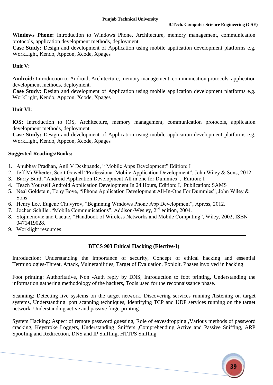**Windows Phone:** Introduction to Windows Phone, Architecture, memory management, communication protocols, application development methods, deployment.

**Case Study:** Design and development of Application using mobile application development platforms e.g. WorkLight, Kendo, Appcon, Xcode, Xpages

#### **Unit V:**

**Android:** Introduction to Android, Architecture, memory management, communication protocols, application development methods, deployment.

**Case Study:** Design and development of Application using mobile application development platforms e.g. WorkLight, Kendo, Appcon, Xcode, Xpages

#### **Unit VI:**

**iOS:** Introduction to iOS, Architecture, memory management, communication protocols, application development methods, deployment.

**Case Study:** Design and development of Application using mobile application development platforms e.g. WorkLight, Kendo, Appcon, Xcode, Xpages

#### **Suggested Readings/Books:**

- 1. Anubhav Pradhan, Anil V Deshpande, " Mobile Apps Development" Edition: I
- 2. Jeff McWherter, Scott Gowell "Professional Mobile Application Development", John Wiley & Sons, 2012.
- 3. Barry Burd, "Android Application Development All in one for Dummies", Edition: I
- 4. Teach Yourself Android Application Development In 24 Hours, Edition: I, Publication: SAMS
- 5. Neal Goldstein, Tony Bove, "iPhone Application Development All-In-One For Dummies", John Wiley & Sons
- 6. Henry Lee, Eugene Chuvyrov, "Beginning Windows Phone App Development", Apress, 2012.
- 7. Jochen Schiller, "Mobile Communications", Addison-Wesley, 2<sup>nd</sup> edition, 2004.
- 8. Stojmenovic and Cacute, "Handbook of Wireless Networks and Mobile Computing", Wiley, 2002, ISBN 0471419028.
- 9. Worklight resources

#### **BTCS 903 Ethical Hacking (Elective-I)**

Introduction: Understanding the importance of security, Concept of ethical hacking and essential Terminologies-Threat, Attack, Vulnerabilities, Target of Evaluation, Exploit. Phases involved in hacking

Foot printing: Authoritative, Non -Auth reply by DNS, Introduction to foot printing, Understanding the information gathering methodology of the hackers, Tools used for the reconnaissance phase.

Scanning: Detecting live systems on the target network, Discovering services running /listening on target systems, Understanding port scanning techniques, Identifying TCP and UDP services running on the target network, Understanding active and passive fingerprinting.

System Hacking: Aspect of remote password guessing, Role of eavesdropping ,Various methods of password cracking, Keystroke Loggers, Understanding Sniffers ,Comprehending Active and Passive Sniffing, ARP Spoofing and Redirection, DNS and IP Sniffing, HTTPS Sniffing.

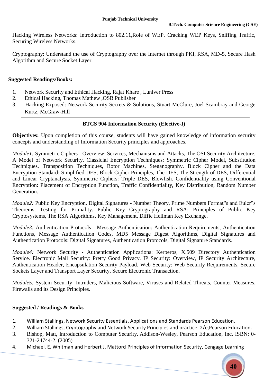Hacking Wireless Networks: Introduction to 802.11,Role of WEP, Cracking WEP Keys, Sniffing Traffic, Securing Wireless Networks.

Cryptography: Understand the use of Cryptography over the Internet through PKI, RSA, MD-5, Secure Hash Algorithm and Secure Socket Layer.

#### **Suggested Readings/Books:**

- 1. Network Security and Ethical Hacking, Rajat Khare , Luniver Press
- 2. Ethical Hacking, Thomas Mathew ,OSB Publisher
- 3. Hacking Exposed: Network Security Secrets & Solutions, Stuart McClure, Joel Scambray and George Kurtz, McGraw-Hill

#### **BTCS 904 Information Security (Elective-I)**

**Objectives:** Upon completion of this course, students will have gained knowledge of information security concepts and understanding of Information Security principles and approaches.

*Module1:* Symmetric Ciphers **-** Overview: Services, Mechanisms and Attacks, The OSI Security Architecture, A Model of Network Security. Classicial Encryption Techniques: Symmetric Cipher Model, Substitution Techniques, Transposition Techniques, Rotor Machines, Steganography. Block Cipher and the Data Encryption Standard: Simplified DES, Block Cipher Principles, The DES, The Strength of DES, Differential and Linear Cryptanalysis. Symmetric Ciphers: Triple DES, Blowfish. Confidentiality using Conventional Encryption: Placement of Encryption Function, Traffic Confidentiality, Key Distribution, Random Number Generation.

*Module2:* Public Key Encryption, Digital Signatures **-** Number Theory, Prime Numbers Format"s and Euler"s Theorems, Testing for Primality. Public Key Cryptography and RSA: Principles of Public Key Cryptosystems, The RSA Algorithms, Key Management, Diffie Hellman Key Exchange.

*Module3:* Authentication Protocols **-** Message Authentication: Authentication Requirements, Authentication Functions, Message Authentication Codes, MD5 Message Digest Algorithms, Digital Signatures and Authentication Protocols: Digital Signatures, Authentication Protocols, Digital Signature Standards.

*Module4:* Network Security **-** Authentication Applications: Kerberos, X.509 Directory Authentication Service. Electronic Mail Security: Pretty Good Privacy. IP Security: Overview, IP Security Architecture, Authentication Header, Encapsulation Security Payload. Web Security: Web Security Requirements, Secure Sockets Layer and Transport Layer Security, Secure Electronic Transaction.

*Module5:* System Security**-** Intruders, Malicious Software, Viruses and Related Threats, Counter Measures, Firewalls and its Design Principles.

#### **Suggested / Readings & Books**

- 1. William Stallings, Network Security Essentials, Applications and Standards Pearson Education.
- 2. William Stallings, Cryptography and Network Security Principles and practice. 2/e,Pearson Education.
- 3. Bishop, Matt, Introduction to Computer Security*.* Addison-Wesley, Pearson Education, Inc. ISBN: 0- 321-24744-2. (2005)
- 4. Michael. E. Whitman and Herbert J. Mattord Principles of Information Security, Cengage Learning

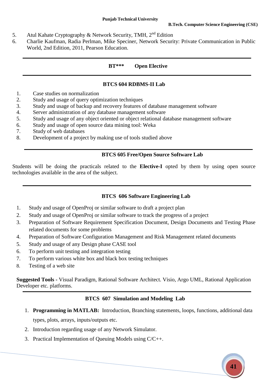- 5. Atul Kahate Cryptography & Network Security, TMH, 2<sup>nd</sup> Edition
- 6. Charlie Kaufman, Radia Perlman, Mike Speciner, Network Security: Private Communication in Public World, 2nd Edition, 2011, Pearson Education.

#### **BT\*\*\* Open Elective**

#### **BTCS 604 RDBMS-II Lab**

- 1. Case studies on normalization
- 2. Study and usage of query optimization techniques
- 3. Study and usage of backup and recovery features of database management software
- 4. Server administration of any database management software
- 5. Study and usage of any object oriented or object relational database management software
- 6. Study and usage of open source data mining tool: Weka
- 7. Study of web databases
- 8. Development of a project by making use of tools studied above

#### **BTCS 605 Free/Open Source Software Lab**

Students will be doing the practicals related to the **Elective-I** opted by them by using open source technologies available in the area of the subject.

#### **BTCS 606 Software Engineering Lab**

- 1. Study and usage of OpenProj or similar software to draft a project plan
- 2. Study and usage of OpenProj or similar software to track the progress of a project
- 3. Preparation of Software Requirement Specification Document, Design Documents and Testing Phase related documents for some problems
- 4. Preparation of Software Configuration Management and Risk Management related documents
- 5. Study and usage of any Design phase CASE tool
- 6. To perform unit testing and integration testing
- 7. To perform various white box and black box testing techniques
- 8. Testing of a web site

**Suggested Tools -** Visual Paradigm, Rational Software Architect. Visio, Argo UML, Rational Application Developer etc. platforms.

#### **BTCS 607 Simulation and Modeling Lab**

- 1. **Programming in MATLAB:** Introduction, Branching statements, loops, functions, additional data types, plots, arrays, inputs/outputs etc.
- 2. Introduction regarding usage of any Network Simulator.
- 3. Practical Implementation of Queuing Models using C/C++.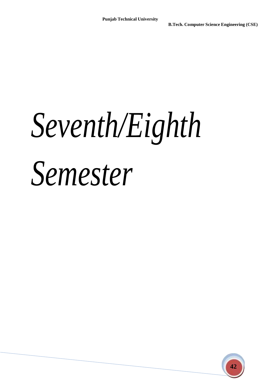# *Seventh/Eighth Semester*

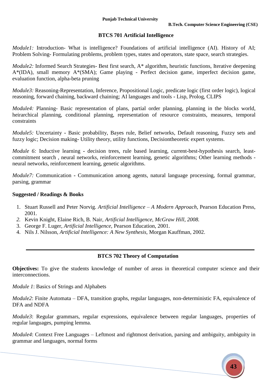#### **BTCS 701 Artificial Intelligence**

*Module1:* Introduction- What is intelligence? Foundations of artificial intelligence (AI). History of AI; Problem Solving- Formulating problems, problem types, states and operators, state space, search strategies.

*Module2:* Informed Search Strategies- Best first search, A\* algorithm, heuristic functions, Iterative deepening A\*(IDA), small memory A\*(SMA); Game playing - Perfect decision game, imperfect decision game, evaluation function, alpha-beta pruning

*Module3:* Reasoning-Representation, Inference, Propositional Logic, predicate logic (first order logic), logical reasoning, forward chaining, backward chaining; AI languages and tools **-** Lisp, Prolog, CLIPS

*Module4:* Planning- Basic representation of plans, partial order planning, planning in the blocks world, heirarchical planning, conditional planning, representation of resource constraints, measures, temporal constraints

*Module5:* Uncertainty **-** Basic probability, Bayes rule, Belief networks, Default reasoning, Fuzzy sets and fuzzy logic; Decision making**-** Utility theory, utility functions, Decisiontheoretic expert systems.

*Module 6:* Inductive learning **-** decision trees, rule based learning, current-best-hypothesis search, leastcommitment search , neural networks, reinforcement learning, genetic algorithms; Other learning methods neural networks, reinforcement learning, genetic algorithms.

*Module7:* Communication **-** Communication among agents, natural language processing, formal grammar, parsing, grammar

#### **Suggested / Readings & Books**

- 1. Stuart Russell and Peter Norvig. *Artificial Intelligence – A Modern Approach,* Pearson Education Press, 2001.
- *2.* Kevin Knight, Elaine Rich, B. Nair, *Artificial Intelligence, McGraw Hill, 2008.*
- 3. George F. Luger, *Artificial Intelligence,* Pearson Education, 2001.
- 4. Nils J. Nilsson, *Artificial Intelligence: A New Synthesis,* Morgan Kauffman, 2002.

#### **BTCS 702 Theory of Computation**

**Objectives:** To give the students knowledge of number of areas in theoretical computer science and their interconnections.

*Module 1*: Basics of Strings and Alphabets

*Module2*: Finite Automata – DFA, transition graphs, regular languages, non-deterministic FA, equivalence of DFA and NDFA

*Module3*: Regular grammars, regular expressions, equivalence between regular languages, properties of regular languages, pumping lemma.

*Module4*: Context Free Languages – Leftmost and rightmost derivation, parsing and ambiguity, ambiguity in grammar and languages, normal forms

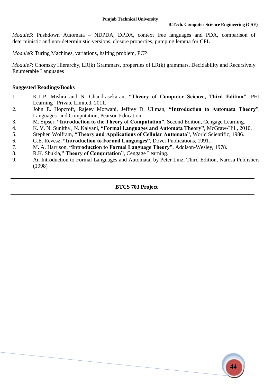*Module5*: Pushdown Automata – NDPDA, DPDA, context free languages and PDA, comparison of deterministic and non-deterministic versions, closure properties, pumping lemma for CFL

*Module6*: Turing Machines, variations, halting problem, PCP

*Module7*: Chomsky Hierarchy, LR(k) Grammars, properties of LR(k) grammars, Decidability and Recursively Enumerable Languages

#### **Suggested Readings/Books**

- 1. K.L.P. Mishra and N. Chandrasekaran, **"Theory of Computer Science, Third Edition"**, PHI Learning Private Limited, 2011.
- 2. John E. Hopcroft, Rajeev Motwani, Jeffrey D. Ullman, **"Introduction to Automata Theory**", Languages and Computation, Pearson Education.
- 3. M. Sipser, **"Introduction to the Theory of Computation"**, Second Edition, Cengage Learning.
- 4. K. V. N. Sunitha , N. Kalyani, **"Formal Languages and Automata Theory"**, McGraw-Hill, 2010.
- 5. Stephen Wolfram, **"Theory and Applications of Cellular Automata"**, World Scientific, 1986.
- 6. G.E. Revesz, **"Introduction to Formal Languages"**, Dover Publications, 1991.
- 7. M. A. Harrison, **"Introduction to Formal Language Theory"**, Addison-Wesley, 1978.
- 8. R.K. Shukla,**" Theory of Computation"**, Cengage Learning.
- 9. An Introduction to Formal Languages and Automata, by Peter Linz, Third Edition, Narosa Publishers (1998)

#### **BTCS 703 Project**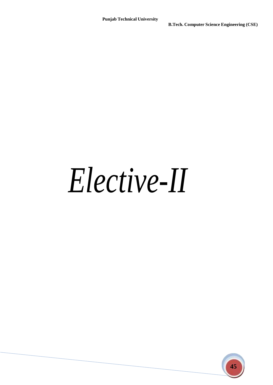## *Elective-II*

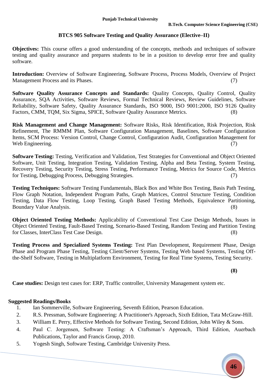#### **BTCS 905 Software Testing and Quality Assurance (Elective–II)**

**Objectives:** This course offers a good understanding of the concepts, methods and techniques of software testing and quality assurance and prepares students to be in a position to develop error free and quality software.

**Introduction:** Overview of Software Engineering, Software Process, Process Models, Overview of Project Management Process and its Phases. (7)

**Software Quality Assurance Concepts and Standards: Quality Concepts, Quality Control, Quality** Assurance, SQA Activities, Software Reviews, Formal Technical Reviews, Review Guidelines, Software Reliability, Software Safety, Quality Assurance Standards, ISO 9000, ISO 9001:2000, ISO 9126 Quality Factors, CMM, TQM, Six Sigma, SPICE, Software Quality Assurance Metrics. (8)

**Risk Management and Change Management:** Software Risks, Risk Identification, Risk Projection, Risk Refinement, The RMMM Plan, Software Configuration Management, Baselines, Software Configuration Items, SCM Process: Version Control, Change Control, Configuration Audit, Configuration Management for Web Engineering. (7)

**Software Testing:** Testing, Verification and Validation, Test Strategies for Conventional and Object Oriented Software, Unit Testing, Integration Testing, Validation Testing, Alpha and Beta Testing, System Testing, Recovery Testing, Security Testing, Stress Testing, Performance Testing, Metrics for Source Code, Metrics for Testing, Debugging Process, Debugging Strategies. (7)

**Testing Techniques:** Software Testing Fundamentals, Black Box and White Box Testing, Basis Path Testing, Flow Graph Notation, Independent Program Paths, Graph Matrices, Control Structure Testing, Condition Testing, Data Flow Testing, Loop Testing, Graph Based Testing Methods, Equivalence Partitioning, Boundary Value Analysis. (8)

**Object Oriented Testing Methods:** Applicability of Conventional Test Case Design Methods, Issues in Object Oriented Testing, Fault-Based Testing, Scenario-Based Testing, Random Testing and Partition Testing for Classes, InterClass Test Case Design. (8)

**Testing Process and Specialized Systems Testing:** Test Plan Development, Requirement Phase, Design Phase and Program Phase Testing, Testing Client/Server Systems, Testing Web based Systems, Testing Offthe-Shelf Software, Testing in Multiplatform Environment, Testing for Real Time Systems, Testing Security.

**(8)**

**Case studies:** Design test cases for: ERP, Traffic controller, University Management system etc.

- 1. Ian Sommerville, Software Engineering, Seventh Edition, Pearson Education.
- 2. R.S. Pressman, Software Engineering: A Practitioner's Approach, Sixth Edition, Tata McGraw-Hill.
- 3. William E. Perry, Effective Methods for Software Testing, Second Edition, John Wiley & Sons.
- 4. Paul C. Jorgensen, Software Testing: A Craftsman's Approach, Third Edition, Auerbach Publications, Taylor and Francis Group, 2010.
- 5. Yogesh Singh, Software Testing, Cambridge University Press.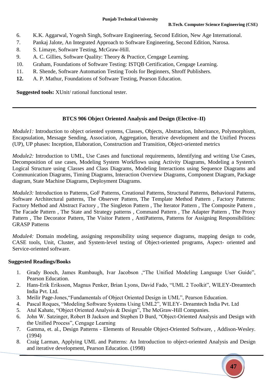- 6. K.K. Aggarwal, Yogesh Singh, Software Engineering, Second Edition, New Age International.
- 7. Pankaj Jalote, An Integrated Approach to Software Engineering, Second Edition, Narosa.
- 8. S. Limaye, Software Testing, McGraw-Hill.
- 9. A. C. Gillies, Software Quality: Theory & Practice, Cengage Learning.
- 10. Graham, Foundations of Software Testing: ISTQB Certification, Cengage Learning.
- 11. R. Shende, Software Automation Testing Tools for Beginners, Shroff Publishers.
- **12.** A. P. Mathur, Foundations of Software Testing, Pearson Education.

**Suggested tools:** XUnit/ rational functional tester.

#### **BTCS 906 Object Oriented Analysis and Design (Elective–II)**

*Module1:* Introduction to object oriented systems, Classes, Objects, Abstraction, Inheritance, Polymorphism, Encapsulation, Message Sending, Association, Aggregation, Iterative development and the Unified Process (UP), UP phases: Inception, Elaboration, Construction and Transition, Object-oriented metrics

*Module2:* Introduction to UML, Use Cases and functional requirements, Identifying and writing Use Cases, Decomposition of use cases, Modeling System Workflows using Activity Diagrams, Modeling a System's Logical Structure using Classes and Class Diagrams, Modeling Interactions using Sequence Diagrams and Communication Diagrams, Timing Diagrams, Interaction Overview Diagrams, Component Diagram, Package diagram, State Machine Diagrams, Deployment Diagrams.

*Module3:* Introduction to Patterns, GoF Patterns, Creational Patterns, Structural Patterns, Behavioral Patterns, Software Architectural patterns, The Observer Pattern, The Template Method Pattern , Factory Patterns: Factory Method and Abstract Factory, The Singleton Pattern, The Iterator Pattern, The Composite Pattern, The Facade Pattern , The State and Strategy patterns , Command Pattern , The Adapter Pattern , The Proxy Pattern , The Decorator Pattern, The Visitor Pattern , AntiPatterns, Patterns for Assigning Responsibilities: GRASP Patterns

*Module4:* Domain modeling, assigning responsibility using sequence diagrams, mapping design to code, CASE tools, Unit, Cluster, and System-level testing of Object-oriented programs, Aspect- oriented and Service-oriented software.

- 1. Grady Booch, James Rumbaugh, Ivar Jacobson ,"The Unified Modeling Language User Guide", Pearson Education.
- 2. Hans-Erik Eriksson, Magnus Penker, Brian Lyons, David Fado, "UML 2 Toolkit", WILEY-Dreamtech India Pvt. Ltd.
- 3. Meilir Page-Jones,"Fundamentals of Object Oriented Design in UML", Pearson Education.
- 4. Pascal Roques, "Modeling Software Systems Using UML2", WILEY- Dreamtech India Pvt. Ltd
- 5. Atul Kahate, "Object Oriented Analysis & Design", The McGraw-Hill Companies.
- 6. John W. Satzinger, Robert B Jackson and Stephen D Burd, "Object-Oriented Analysis and Design with the Unified Process", Cengage Learning
- 7. Gamma, et. al., Design Patterns Elements of Reusable Object-Oriented Software, , Addison-Wesley. (1994)
- 8. Craig Larman, Applying UML and Patterns: An Introduction to object-oriented Analysis and Design and iterative development, Pearson Education. (1998)

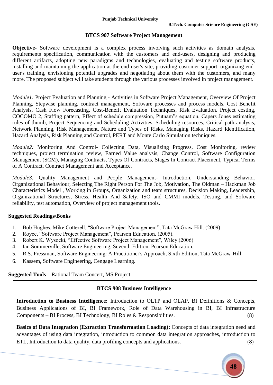#### **BTCS 907 Software Project Management**

**Objective-** Software development is a complex process involving such activities as domain analysis, requirements specification, communication with the customers and end-users, designing and producing different artifacts, adopting new paradigms and technologies, evaluating and testing software products, installing and maintaining the application at the end-user's site, providing customer support, organizing enduser's training, envisioning potential upgrades and negotiating about them with the customers, and many more. The proposed subject will take students through the various processes involved in project management.

*Module1:* Project Evaluation and Planning - Activities in Software Project Management, Overview Of Project Planning, Stepwise planning, contract management, Software processes and process models. Cost Benefit Analysis, Cash Flow Forecasting, Cost-Benefit Evaluation Techniques, Risk Evaluation. Project costing, COCOMO 2, Staffing pattern, Effect of schedule compression, Putnam"s equation, Capers Jones estimating rules of thumb, Project Sequencing and Scheduling Activities, Scheduling resources, Critical path analysis, Network Planning, Risk Management, Nature and Types of Risks, Managing Risks, Hazard Identification, Hazard Analysis, Risk Planning and Control, PERT and Monte Carlo Simulation techniques.

*Module2:* Monitoring And Control- Collecting Data, Visualizing Progress, Cost Monitoring, review techniques, project termination review, Earned Value analysis, Change Control, Software Configuration Management (SCM), Managing Contracts, Types Of Contracts, Stages In Contract Placement, Typical Terms of A Contract, Contract Management and Acceptance.

*Module3*: Quality Management and People Management- Introduction, Understanding Behavior, Organizational Behaviour, Selecting The Right Person For The Job, Motivation, The Oldman – Hackman Job Characteristics Model , Working in Groups, Organization and team structures, Decision Making, Leadership, Organizational Structures, Stress, Health And Safety. ISO and CMMI models, Testing, and Software reliability, test automation, Overview of project management tools.

#### **Suggested Readings/Books**

- 1. Bob Hughes, Mike Cotterell, "Software Project Management", Tata McGraw Hill. (2009)
- 2. Royce, "Software Project Management", Pearson Education. (2005).
- 3. Robert K. Wysocki, "Effective Software Project Management", Wiley.(2006)
- 4. Ian Sommerville, Software Engineering, Seventh Edition, Pearson Education.
- 5. R.S. Pressman, Software Engineering: A Practitioner's Approach, Sixth Edition, Tata McGraw-Hill.
- 6. Kassem, Software Engineering, Cengage Learning.

#### **Suggested Tools –** Rational Team Concert, MS Project

#### **BTCS 908 Business Intelligence**

**Introduction to Business Intelligence:** Introduction to OLTP and OLAP, BI Definitions & Concepts, Business Applications of BI, BI Framework, Role of Data Warehousing in BI, BI Infrastructure Components – BI Process, BI Technology, BI Roles & Responsibilities. (8)

**Basics of Data Integration (Extraction Transformation Loading):** Concepts of data integration need and advantages of using data integration, introduction to common data integration approaches, introduction to ETL, Introduction to data quality, data profiling concepts and applications. (8)

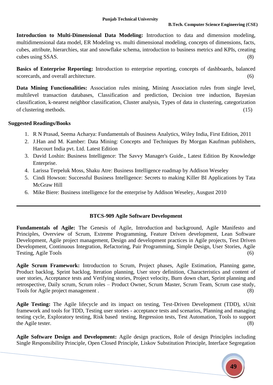**Introduction to Multi-Dimensional Data Modeling:** Introduction to data and dimension modeling, multidimensional data model, ER Modeling vs. multi dimensional modeling, concepts of dimensions, facts, cubes, attribute, hierarchies, star and snowflake schema, introduction to business metrics and KPIs, creating cubes using SSAS.  $(8)$ 

**Basics of Enterprise Reporting:** Introduction to enterprise reporting, concepts of dashboards, balanced scorecards, and overall architecture. (6) (6)

**Data Mining Functionalities:** Association rules mining, Mining Association rules from single level, multilevel transaction databases, Classification and prediction, Decision tree induction, Bayesian classification, k-nearest neighbor classification, Cluster analysis, Types of data in clustering, categorization of clustering methods. (15)

#### **Suggested Readings/Books**

- 1. R N Prasad, Seema Acharya: Fundamentals of Business Analytics, Wiley India, First Edition, 2011
- 2. J.Han and M. Kamber: Data Mining: Concepts and Techniques By Morgan Kaufman publishers, Harcourt India pvt. Ltd. Latest Edition
- 3. David Loshin: Business Intelligence: The Savvy Manager's Guide., Latest Edition By Knowledge Enterprise.
- 4. Larissa Terpeluk Moss, Shaku Atre: Business Intelligence roadmap by Addison Weseley
- 5. Cindi Howson: Successful Business Intelligence: Secrets to making Killer BI Applications by Tata McGraw Hill
- 6. Mike Biere: Business intelligence for the enterprise by Addison Weseley, Ausgust 2010

#### **BTCS-909 Agile Software Development**

**Fundamentals of Agile:** The Genesis of Agile, Introduction and background, Agile Manifesto and Principles, Overview of Scrum, Extreme Programming, Feature Driven development, Lean Software Development, Agile project management, Design and development practices in Agile projects, Test Driven Development, Continuous Integration, Refactoring, Pair Programming, Simple Design, User Stories, Agile Testing, Agile Tools (6)

**Agile Scrum Framework:** Introduction to Scrum, Project phases, Agile Estimation, Planning game, Product backlog, Sprint backlog, Iteration planning, User story definition, Characteristics and content of user stories, Acceptance tests and Verifying stories, Project velocity, Burn down chart, Sprint planning and retrospective, Daily scrum, Scrum roles – Product Owner, Scrum Master, Scrum Team, Scrum case study, Tools for Agile project management . (8)

**Agile Testing:** The Agile lifecycle and its impact on testing, Test-Driven Development (TDD), xUnit framework and tools for TDD, Testing user stories - acceptance tests and scenarios, Planning and managing testing cycle, Exploratory testing, Risk based testing, Regression tests, Test Automation, Tools to support the Agile tester.  $(8)$ 

**Agile Software Design and Development:** Agile design practices, Role of design Principles including Single Responsibility Principle, Open Closed Principle, Liskov Substitution Principle, Interface Segregation

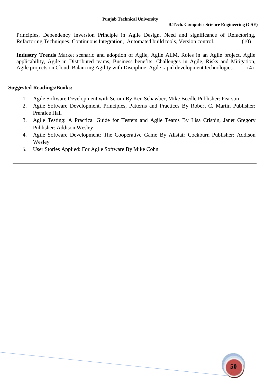Principles, Dependency Inversion Principle in Agile Design, Need and significance of Refactoring, Refactoring Techniques, Continuous Integration, Automated build tools, Version control. (10)

**Industry Trends** Market scenario and adoption of Agile, Agile ALM, Roles in an Agile project, Agile applicability, Agile in Distributed teams, Business benefits, Challenges in Agile, Risks and Mitigation, Agile projects on Cloud, Balancing Agility with Discipline, Agile rapid development technologies. (4)

- 1. Agile Software Development with Scrum By Ken Schawber, Mike Beedle Publisher: Pearson
- 2. Agile Software Development, Principles, Patterns and Practices By Robert C. Martin Publisher: Prentice Hall
- 3. Agile Testing: A Practical Guide for Testers and Agile Teams By [Lisa Crispin,](http://www.amazon.co.uk/s/ref=rdr_ext_aut?_encoding=UTF8&index=books&field-author=Lisa%20Crispin) [Janet Gregory](http://www.amazon.co.uk/s/ref=rdr_ext_aut?_encoding=UTF8&index=books&field-author=Janet%20Gregory) Publisher: Addison Wesley
- 4. Agile Software Development: The Cooperative Game By Alistair Cockburn Publisher: Addison Wesley
- 5. User Stories Applied: For Agile Software By Mike Cohn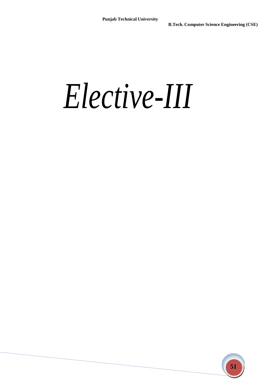## *Elective-III*

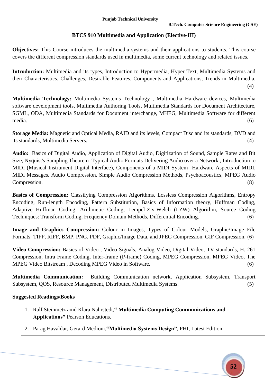#### **BTCS 910 Multimedia and Application (Elective-III)**

**Objectives:** This Course introduces the multimedia systems and their applications to students. This course covers the different compression standards used in multimedia, some current technology and related issues.

**Introduction:** Multimedia and its types, Introduction to Hypermedia, Hyper Text, Multimedia Systems and their Characteristics, Challenges, Desirable Features, Components and Applications, Trends in Multimedia. (4)

**Multimedia Technology:** Multimedia Systems Technology , Multimedia Hardware devices, Multimedia software development tools, Multimedia Authoring Tools, Multimedia Standards for Document Architecture, SGML, ODA, Multimedia Standards for Document interchange, MHEG, Multimedia Software for different media. (6)

**Storage Media:** Magnetic and Optical Media, RAID and its levels, Compact Disc and its standards, DVD and its standards, Multimedia Servers. (4)

**Audio:** Basics of Digital Audio, Application of Digital Audio, Digitization of Sound, Sample Rates and Bit Size, Nyquist's Sampling Theorem Typical Audio Formats Delivering Audio over a Network , Introduction to MIDI (Musical Instrument Digital Interface), Components of a MIDI System Hardware Aspects of MIDI, MIDI Messages. Audio Compression, Simple Audio Compression Methods, Psychoacoustics, MPEG Audio Compression. (8)

**Basics of Compression:** Classifying Compression Algorithms, Lossless Compression Algorithms, Entropy Encoding, Run-length Encoding, Pattern Substitution, Basics of Information theory, Huffman Coding, Adaptive Huffman Coding, Arithmetic Coding, Lempel-Ziv-Welch (LZW) Algorithm, Source Coding Techniques: Transform Coding, Frequency Domain Methods, Differential Encoding. (6)

**Image and Graphics Compression:** Colour in Images, Types of Colour Models, Graphic/Image File Formats: TIFF, RIFF, BMP, PNG, PDF, Graphic/Image Data, and JPEG Compression, GIF Compression. (6)

**Video Compression:** Basics of Video , Video Signals, Analog Video, Digital Video, TV standards, H. 261 Compression, Intra Frame Coding, Inter-frame (P-frame) Coding, MPEG Compression, MPEG Video, The MPEG Video Bitstream , Decoding MPEG Video in Software. (6)

**Multimedia Communication:** Building Communication network, Application Subsystem, Transport Subsystem, QOS, Resource Management, Distributed Multimedia Systems. (5)

- 1. Ralf Steinmetz amd Klara Nahrstedt,**" Multimedia Computing Communications and Applications"** Pearson Educations.
- 2. Parag Havaldar, Gerard Medioni,**"Multimedia Systems Design"**, PHI, Latest Edition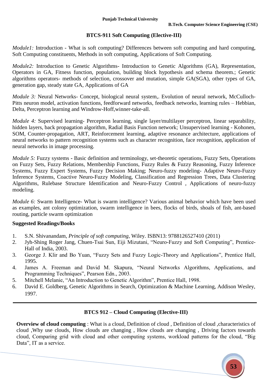#### **BTCS-911 Soft Computing (Elective-III)**

*Module1:* Introduction - What is soft computing? Differences between soft computing and hard computing, Soft Computing constituents, Methods in soft computing, Applications of Soft Computing.

*Module2:* Introduction to Genetic Algorithms- Introduction to Genetic Algorithms (GA), Representation, Operators in GA, Fitness function, population, building block hypothesis and schema theorem.; Genetic algorithms operators- methods of selection, crossover and mutation, simple GA(SGA), other types of GA, generation gap, steady state GA, Applications of GA

*Module 3:* Neural Networks- Concept, biological neural system,. Evolution of neural network, McCulloch-Pitts neuron model, activation functions, feedforward networks, feedback networks, learning rules – Hebbian, Delta, Perceptron learning and Windrow-Hoff,winner-take-all.

*Module 4:* Supervised learning- Perceptron learning, single layer/multilayer perceptron, linear separability, hidden layers, back propagation algorithm, Radial Basis Function network; Unsupervised learning - Kohonen, SOM, Counter-propagation, ART, Reinforcement learning, adaptive resonance architecture, applications of neural networks to pattern recognition systems such as character recognition, face recognition, application of neural networks in image processing.

*Module 5:* Fuzzy systems **-** Basic definition and terminology, set-theoretic operations, Fuzzy Sets, Operations on Fuzzy Sets, Fuzzy Relations, Membership Functions, Fuzzy Rules & Fuzzy Reasoning, Fuzzy Inference Systems, Fuzzy Expert Systems, Fuzzy Decision Making; Neuro-fuzzy modeling- Adaptive Neuro-Fuzzy Inference Systems, Coactive Neuro-Fuzzy Modeling, Classification and Regression Trees, Data Clustering Algorithms, Rulebase Structure Identification and Neuro-Fuzzy Control , Applications of neuro-fuzzy modeling.

*Module 6:* Swarm Intelligence- What is swarm intelligence? Various animal behavior which have been used as examples, ant colony optimization, swarm intelligence in bees, flocks of birds, shoals of fish, ant-based routing, particle swarm optimization

#### **Suggested Readings/Books**

- 1. S.N. Shivanandam, *Principle of soft computing*, Wiley. ISBN13: 9788126527410 (2011)
- 2. Jyh-Shing Roger Jang, Chuen-Tsai Sun, Eiji Mizutani, "Neuro-Fuzzy and Soft Computing", Prentice-Hall of India, 2003.
- 3. George J. Klir and Bo Yuan, "Fuzzy Sets and Fuzzy Logic-Theory and Applications", Prentice Hall, 1995.
- 4. James A. Freeman and David M. Skapura, "Neural Networks Algorithms, Applications, and Programming Techniques", Pearson Edn., 2003.
- 5. Mitchell Melanie, "An Introduction to Genetic Algorithm", Prentice Hall, 1998.
- 6. David E. Goldberg, Genetic Algorithms in Search, Optimization & Machine Learning, Addison Wesley, 1997.

#### **BTCS 912 – Cloud Computing (Elective-III)**

**Overview of cloud computing** : What is a cloud, Definition of cloud, Definition of cloud ,characteristics of cloud ,Why use clouds, How clouds are changing , How clouds are changing , Driving factors towards cloud, Comparing grid with cloud and other computing systems, workload patterns for the cloud, "Big Data", IT as a service.

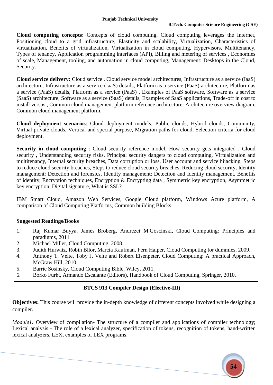**54**

**Cloud computing concepts:** Concepts of cloud computing, Cloud computing leverages the Internet, Positioning cloud to a grid infrastructure, Elasticity and scalability, Virtualization, Characteristics of virtualization, Benefits of virtualization, Virtualization in cloud computing, Hypervisors, Multitenancy, Types of tenancy, Application programming interfaces (API), Billing and metering of services , Economies of scale, Management, tooling, and automation in cloud computing, Management: Desktops in the Cloud, Security.

**Cloud service delivery:** Cloud service , Cloud service model architectures, Infrastructure as a service (IaaS) architecture, Infrastructure as a service (IaaS) details, Platform as a service (PaaS) architecture, Platform as a service (PaaS) details, Platform as a service (PaaS) , Examples of PaaS software, Software as a service (SaaS) architecture, Software as a service (SaaS) details, Examples of SaaS applications, Trade-off in cost to install versus , Common cloud management platform reference architecture: Architecture overview diagram, Common cloud management platform.

**Cloud deployment scenarios**: Cloud deployment models, Public clouds, Hybrid clouds, Community, Virtual private clouds, Vertical and special purpose, Migration paths for cloud, Selection criteria for cloud deployment.

**Security in cloud computing** : Cloud security reference model, How security gets integrated , Cloud security , Understanding security risks, Principal security dangers to cloud computing, Virtualization and multitenancy, Internal security breaches, Data corruption or loss, User account and service hijacking, Steps to reduce cloud security breaches, Steps to reduce cloud security breaches, Reducing cloud security, Identity management: Detection and forensics, Identity management: Detection and Identity management, Benefits of identity, Encryption techniques, Encryption & Encrypting data , Symmetric key encryption, Asymmetric key encryption, Digital signature, What is SSL?

IBM Smart Cloud, Amazon Web Services, Google Cloud platform, Windows Azure platform, A comparison of Cloud Computing Platforms, Common building Blocks.

#### **Suggested Readings/Books**

- 1. Raj Kumar Buyya, James Broberg, Andrezei M.Goscinski, Cloud Computing: Principles and paradigms, 2011
- 2. Michael Miller, Cloud Computing, 2008.
- 3. Judith Hurwitz, Robin Bllor, Marcia Kaufman, Fern Halper, Cloud Computing for dummies, 2009.
- 4. Anthony T. Velte, Toby J. Velte and Robert Elsenpeter, Cloud Computing: A practical Approach, McGraw Hill, 2010.
- 5. Barrie Sosinsky, Cloud Computing Bible, Wiley, 2011.
- 6. Borko Furht, Armando Escalante (Editors), Handbook of Cloud Computing, Springer, 2010.

### **BTCS 913 Compiler Design (Elective-III)**

**Objectives:** This course will provide the in-depth knowledge of different concepts involved while designing a compiler.

*Module1:* Overview of compilation- The structure of a compiler and applications of compiler technology; Lexical analysis - The role of a lexical analyzer, specification of tokens, recognition of tokens, hand-written lexical analyzers, LEX, examples of LEX programs.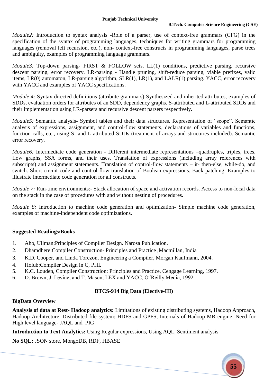*Module2*: Introduction to syntax analysis -Role of a parser, use of context-free grammars (CFG) in the specification of the syntax of programming languages, techniques for writing grammars for programming languages (removal left recursion, etc.), non- context-free constructs in programming languages, parse trees and ambiguity, examples of programming language grammars.

*Module3*: Top-down parsing- FIRST & FOLLOW sets, LL(1) conditions, predictive parsing, recursive descent parsing, error recovery. LR-parsing - Handle pruning, shift-reduce parsing, viable prefixes, valid items, LR(0) automaton, LR-parsing algorithm, SLR(1), LR(1), and LALR(1) parsing. YACC, error recovery with YACC and examples of YACC specifications.

*Module 4:* Syntax-directed definitions (attribute grammars)-Synthesized and inherited attributes, examples of SDDs, evaluation orders for attributes of an SDD, dependency graphs. S-attributed and L-attributed SDDs and their implementation using LR-parsers and recursive descent parsers respectively.

*Module5*: Semantic analysis- Symbol tables and their data structures. Representation of "scope". Semantic analysis of expressions, assignment, and control-flow statements, declarations of variables and functions, function calls, etc., using S- and L-attributed SDDs (treatment of arrays and structures included). Semantic error recovery.

*Module6:* Intermediate code generation - Different intermediate representations –quadruples, triples, trees, flow graphs, SSA forms, and their uses. Translation of expressions (including array references with subscripts) and assignment statements. Translation of control-flow statements – it- then-else, while-do, and switch. Short-circuit code and control-flow translation of Boolean expressions. Back patching. Examples to illustrate intermediate code generation for all constructs.

*Module 7*: Run-time environments:- Stack allocation of space and activation records. Access to non-local data on the stack in the case of procedures with and without nesting of procedures.

*Module 8:* Introduction to machine code generation and optimization- Simple machine code generation, examples of machine-independent code optimizations.

#### **Suggested Readings/Books**

- 1. Aho, Ullman:Principles of Compiler Design. Narosa Publication.
- 2. Dhamdhere:Compiler Construction- Principles and Practice ,Macmillan, India
- 3. K.D. Cooper, and Linda Torczon, Engineering a Compiler, Morgan Kaufmann, 2004.
- 4. Holub:Compiler Design in C, PHI.
- 5. K.C. Louden, Compiler Construction: Principles and Practice, Cengage Learning, 1997.
- 6. D. Brown, J. Levine, and T. Mason, LEX and YACC, O"Reilly Media, 1992.

#### **BTCS-914 Big Data (Elective-III)**

#### **BigData Overview**

**Analysis of data at Rest- Hadoop analytics:** Limitations of existing distributing systems, Hadoop Approach, Hadoop Architecture, Distributed file system: HDFS and GPFS, Internals of Hadoop MR engine, Need for High level language- JAQL and PIG

**Introduction to Text Analytics:** Using Regular expressions, Using AQL, Sentiment analysis

**No SQL:** JSON store, MongoDB, RDF, HBASE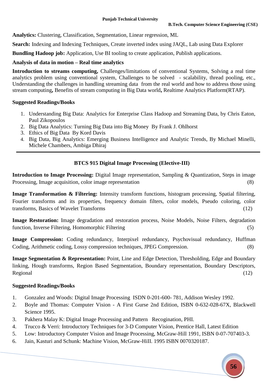**Analytics:** Clustering, Classification, Segmentation, Linear regression, ML

**Search:** Indexing and Indexing Techniques, Create inverted index using JAQL, Lab using Data Explorer

**Bundling Hadoop job:** Application, Use BI tooling to create application, Publish applications.

#### **Analysis of data in motion – Real time analytics**

**Introduction to streams computing,** Challenges/limitations of conventional Systems, Solving a real time analytics problem using conventional system, Challenges to be solved - scalability, thread pooling, etc., Understanding the challenges in handling streaming data from the real world and how to address those using stream computing**,** Benefits of stream computing in Big Data world**,** Realtime Analytics Platform(RTAP).

#### **Suggested Readings/Books**

- 1. Understanding Big Data: Analytics for Enterprise Class Hadoop and Streaming Data, by Chris Eaton, Paul Zikopoulos
- 2. Big Data Analytics: Turning Big Data into Big Money By Frank J. Ohlhorst
- 3. Ethics of Big Data By Kord Davis
- 4. Big Data, Big Analytics: Emerging Business Intelligence and Analytic Trends, By Michael Minelli, Michele Chambers, Ambiga Dhiraj

### **BTCS 915 Digital Image Processing (Elective-III)**

**Introduction to Image Processing:** Digital Image representation, Sampling & Quantization, Steps in image Processing, Image acquisition, color image representation (8)

**Image Transformation & Filtering:** Intensity transform functions, histogram processing, Spatial filtering, Fourier transforms and its properties, frequency domain filters, color models, Pseudo coloring, color transforms, Basics of Wavelet Transforms (12)

**Image Restoration:** Image degradation and restoration process, Noise Models, Noise Filters, degradation function, Inverse Filtering, Homomorphic Filtering (5)

Image Compression: Coding redundancy, Interpixel redundancy, Psychovisual redundancy, Huffman Coding, Arithmetic coding, Lossy compression techniques, JPEG Compression. (8)

**Image Segmentation & Representation:** Point, Line and Edge Detection, Thresholding, Edge and Boundary linking, Hough transforms, Region Based Segmentation, Boundary representation, Boundary Descriptors, Regional (12)

- 1. Gonzalez and Woods: Digital Image Processing ISDN 0-201-600- 781, Addison Wesley 1992.
- 2. Boyle and Thomas: Computer Vision A First Gurse 2nd Edition, ISBN 0-632-028-67X, Blackwell Science 1995.
- 3. Pakhera Malay K: Digital Image Processing and Pattern Recogination, PHI.
- 4. Trucco & Verri: Introductory Techniques for 3-D Computer Vision, Prentice Hall, Latest Edition
- 5. Low: Introductory Computer Vision and Image Processing, McGraw-Hill 1991, ISBN 0-07-707403-3.
- 6. Jain, Kasturi and Schunk: Machine Vision, McGraw-HiII. 1995 ISBN 0070320187.